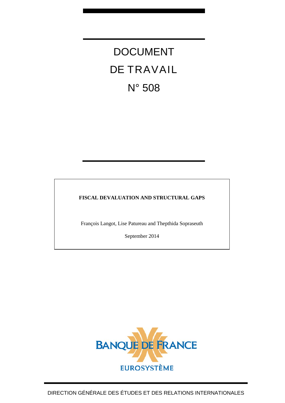DOCUMENT DE TRAVAIL N° 508

## **FISCAL DEVALUATION AND STRUCTURAL GAPS**

François Langot, Lise Patureau and Thepthida Sopraseuth

September 2014

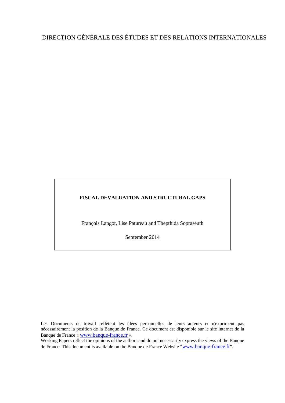# DIRECTION GÉNÉRALE DES ÉTUDES ET DES RELATIONS INTERNATIONALES

## **FISCAL DEVALUATION AND STRUCTURAL GAPS**

François Langot, Lise Patureau and Thepthida Sopraseuth

September 2014

Les Documents de travail reflètent les idées personnelles de leurs auteurs et n'expriment pas nécessairement la position de la Banque de France. Ce document est disponible sur le site internet de la Banque de France « [www.banque-france.fr](http://www.banque-france.fr/) ».

Working Papers reflect the opinions of the authors and do not necessarily express the views of the Banque de France. This document is available on the Banque de France Website ["www.banque-france.fr"](http://www.banque-france.fr/).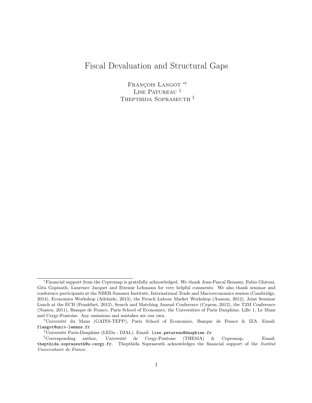# Fiscal Devaluation and Structural Gaps

FRANÇOIS LANGOT \*<sup>†</sup> Lise Patureau ‡ THEPTHIDA SOPRASEUTH<sup>§</sup>

<sup>∗</sup>Financial support from the Cepremap is gratefully acknowledged. We thank Jean-Pascal Benassy, Fabio Ghironi, Gita Gopinath, Laurence Jacquet and Etienne Lehmann for very helpful comments. We also thank seminar and conference participants at the NBER Summer Institute, International Trade and Macroeconomics session (Cambridge, 2014), Economics Workshop (Adelaide, 2013), the French Labour Market Workshop (Aussois, 2012), Joint Seminar Lunch at the ECB (Frankfurt, 2012), Search and Matching Annual Conference (Cyprus, 2012), the T2M Conference (Nantes, 2011), Banque de France, Paris School of Economics, the Universities of Paris Dauphine, Lille 1, Le Mans and Cergy-Pontoise. Any omissions and mistakes are our own.

<sup>†</sup>Université du Mans (GAINS-TEPP), Paris School of Economics, Banque de France & IZA. Email: flangot@univ-lemans.fr

<sup>‡</sup>Université Paris-Dauphine (LEDa - DIAL). Email: lise.patureau@dauphine.fr

<sup>§</sup>Corresponding author, Université de Cergy-Pontoise (THEMA) & Cepremap. Email: thepthida.sopraseuth@u-cergy.fr. Thepthida Sopraseuth acknowledges the financial support of the Institut Universitaire de France.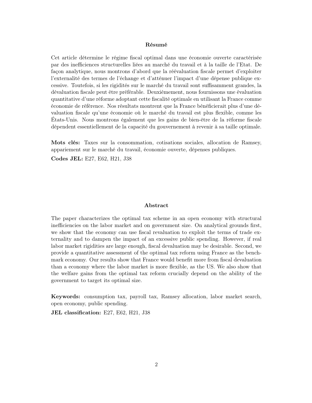#### Résumé

Cet article détermine le régime fiscal optimal dans une économie ouverte caractérisée par des inefficiences structurelles liées au marché du travail et à la taille de l'Etat. De façon analytique, nous montrons d'abord que la réévaluation fiscale permet d'exploiter l'externalité des termes de l'échange et d'atténuer l'impact d'une dépense publique excessive. Toutefois, si les rigidités sur le marché du travail sont suffisamment grandes, la dévaluation fiscale peut être préférable. Deuxièmement, nous fournissons une évaluation quantitative d'une réforme adoptant cette fiscalité optimale en utilisant la France comme économie de référence. Nos résultats montrent que la France bénéficierait plus d'une dévaluation fiscale qu'une économie où le marché du travail est plus flexible, comme les États-Unis. Nous montrons également que les gains de bien-être de la réforme fiscale dépendent essentiellement de la capacité du gouvernement à revenir à sa taille optimale.

Mots clés: Taxes sur la consommation, cotisations sociales, allocation de Ramsey, appariement sur le marché du travail, économie ouverte, dépenses publiques.

Codes JEL: E27, E62, H21, J38

#### Abstract

The paper characterizes the optimal tax scheme in an open economy with structural inefficiencies on the labor market and on government size. On analytical grounds first, we show that the economy can use fiscal revaluation to exploit the terms of trade externality and to dampen the impact of an excessive public spending. However, if real labor market rigidities are large enough, fiscal devaluation may be desirable. Second, we provide a quantitative assessment of the optimal tax reform using France as the benchmark economy. Our results show that France would benefit more from fiscal devaluation than a economy where the labor market is more flexible, as the US. We also show that the welfare gains from the optimal tax reform crucially depend on the ability of the government to target its optimal size.

Keywords: consumption tax, payroll tax, Ramsey allocation, labor market search, open economy, public spending.

JEL classification: E27, E62, H21, J38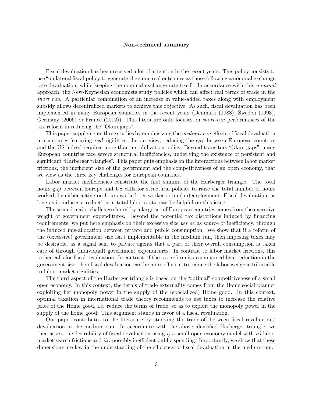#### Non-technical summary

Fiscal devaluation has been received a lot of attention in the recent years. This policy consists to use "unilateral fiscal policy to generate the same real outcomes as those following a nominal exchange rate devaluation, while keeping the nominal exchange rate fixed". In accordance with this *nominal* approach, the New-Keynesian economists study policies which can affect real terms of trade in the short run. A particular combination of an increase in value-added taxes along with employment subsidy allows decentralized markets to achieve this objective. As such, fiscal devaluation has been implemented in many European countries in the recent years (Denmark (1988), Sweden (1993), Germany (2006) or France (2012)). This literature only focuses on *short-run* performances of the tax reform in reducing the "Okun gaps".

This paper supplements these studies by emphasizing the medium-run effects of fiscal devaluation in economies featuring real rigidities. In our view, reducing the gap between European countries and the US indeed requires more than a stabilization policy. Beyond transitory "Okun gaps", many European countries face severe structural inefficiencies, underlying the existence of persistent and significant "Harberger triangles". This paper puts emphasis on the interactions between labor market frictions, the inefficient size of the government and the competitiveness of an open economy, that we view as the three key challenges for European countries.

Labor market inefficiencies constitute the first summit of the Harberger triangle. The total hours gap between Europe and US calls for structural policies to raise the total number of hours worked, by either acting on hours worked per worker or on (un)employment: Fiscal devaluation, as long as it induces a reduction in total labor costs, can be helpful on this issue.

The second major challenge shared by a large set of European countries comes from the excessive weight of government expenditures. Beyond the potential tax distortions induced by financing requirements, we put here emphasis on their excessive size *per se* as source of inefficiency, through the induced mis-allocation between private and public consumption. We show that if a reform of the (excessive) government size isn't implementable in the medium run, then imposing taxes may be desirable, as a signal sent to private agents that a part of their overall consumption is taken care of through (individual) government expenditures. In contrast to labor market frictions, this rather calls for fiscal revaluation. In contrast, if the tax reform is accompanied by a reduction in the government size, then fiscal devaluation can be more efficient to reduce the labor wedge attributable to labor market rigidities.

The third aspect of the Harberger triangle is based on the "optimal" competitiveness of a small open economy. In this context, the terms of trade externality comes from the Home social planner exploiting her monopoly power in the supply of the (specialized) Home good. In this context, optimal taxation in international trade theory recommends to use taxes to increase the relative price of the Home good, i.e. reduce the terms of trade, so as to exploit the monopoly power in the supply of the home good: This argument stands in favor of a fiscal revaluation.

Our paper contributes to the literature by studying the trade-off between fiscal revaluation/ devaluation in the medium run. In accordance with the above identified Harberger triangle, we then assess the desirability of fiscal devaluation using  $i$ ) a small-open economy model with  $ii$ ) labor market search frictions and *iii*) possibly inefficient public spending. Importantly, we show that these dimensions are key in the understanding of the efficiency of fiscal devaluation in the medium run.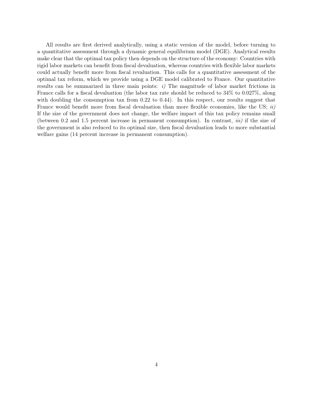All results are first derived analytically, using a static version of the model, before turning to a quantitative assessment through a dynamic general equilibrium model (DGE). Analytical results make clear that the optimal tax policy then depends on the structure of the economy: Countries with rigid labor markets can benefit from fiscal devaluation, whereas countries with flexible labor markets could actually benefit more from fiscal revaluation. This calls for a quantitative assessment of the optimal tax reform, which we provide using a DGE model calibrated to France. Our quantitative results can be summarized in three main points:  $i$ ) The magnitude of labor market frictions in France calls for a fiscal devaluation (the labor tax rate should be reduced to 34% to 0.027%, along with doubling the consumption tax from 0.22 to 0.44). In this respect, our results suggest that France would benefit more from fiscal devaluation than more flexible economies, like the US;  $ii)$ If the size of the government does not change, the welfare impact of this tax policy remains small (between 0.2 and 1.5 percent increase in permanent consumption). In contrast, *iii*) if the size of the government is also reduced to its optimal size, then fiscal devaluation leads to more substantial welfare gains (14 percent increase in permanent consumption).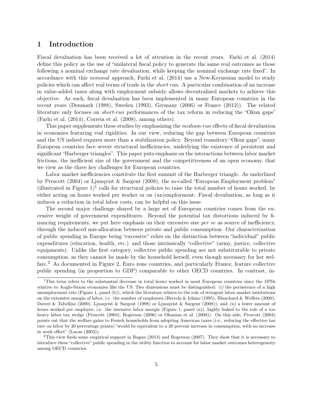## 1 Introduction

Fiscal devaluation has been received a lot of attention in the recent years. Farhi et al. (2014) define this policy as the use of "unilateral fiscal policy to generate the same real outcomes as those following a nominal exchange rate devaluation, while keeping the nominal exchange rate fixed". In accordance with this *nominal* approach, Farhi et al. (2014) use a New-Keynesian model to study policies which can affect real terms of trade in the short run. A particular combination of an increase in value-added taxes along with employment subsidy allows decentralized markets to achieve this objective. As such, fiscal devaluation has been implemented in many European countries in the recent years (Denmark (1988), Sweden (1993), Germany (2006) or France (2012)). The related literature only focuses on *short-run* performances of the tax reform in reducing the "Okun gaps" (Farhi et al. (2014), Correia et al. (2008), among others).

This paper supplements these studies by emphasizing the *medium-run* effects of fiscal devaluation in economies featuring real rigidities. In our view, reducing the gap between European countries and the US indeed requires more than a stabilization policy. Beyond transitory "Okun gaps", many European countries face severe structural inefficiencies, underlying the existence of persistent and significant "Harberger triangles". This paper puts emphasis on the interactions between labor market frictions, the inefficient size of the government and the competitiveness of an open economy, that we view as the three key challenges for European countries.

Labor market inefficiencies constitute the first summit of the Harberger triangle. As underlined by Prescott (2004) or Ljunqvist & Sargent (2008), the so-called "European Employment problem" (illustrated in Figure  $1$ )<sup>1</sup> calls for structural policies to raise the total number of hours worked, by either acting on hours worked per worker or on (un)employment: Fiscal devaluation, as long as it induces a reduction in total labor costs, can be helpful on this issue.

The second major challenge shared by a large set of European countries comes from the excessive weight of government expenditures. Beyond the potential tax distortions induced by financing requirements, we put here emphasis on their excessive size per se as source of inefficiency, through the induced mis-allocation between private and public consumption. Our characterization of public spending in Europe being "excessive" relies on the distinction between "individual" public expenditures (education, health, etc.) and those intrinsically "collective" (army, justice, collective equipments). Unlike the first category, collective public spending are not substitutable to private consumption, as they cannot be made by the household herself, even though necessary for her welfare.<sup>2</sup> As documented in Figure 2, Euro zone countries, and particularly France, feature collective public spending (in proportion to GDP) comparable to other OECD countries. In contrast, in-

<sup>&</sup>lt;sup>1</sup>This term refers to the substantial decrease in total hours worked in most European countries since the 1970s relative to Anglo-Saxon economies like the US. Two dimensions must be distinguished:  $(i)$  the persistence of a high unemployment rate (Figure 1, panel (b)), which the literature relates to the role of stringent labor market institutions on the extensive margin of labor, i.e. the number of employees (Bertola & Ichino (1995), Blanchard & Wolfers (2000), Daveri & Tabellini (2000), Ljunqvist & Sargent (1998) or Ljunqvist & Sargent (2008)), and *(ii)* a lower amount of hours worked per employee, i.e. the intensive labor margin (Figure 1, panel (a)), highly linked to the role of a too heavy labor tax wedge (Prescott (2004), Rogerson (2006) or Ohanian et al. (2008)). On this side, Prescott (2004) points out that the welfare gains to French households from adopting American taxes (i.e., reducing the effective tax rate on labor by 20 percentage points) "would be equivalent to a 20 percent increase in consumption, with no increase in work effort" (Lucas (2003)).

<sup>2</sup>This view finds some empirical support in Ragan (2013) and Rogerson (2007). They show that it is necessary to introduce these "collective" public spending in the utility function to account for labor market outcomes heterogeneity among OECD countries.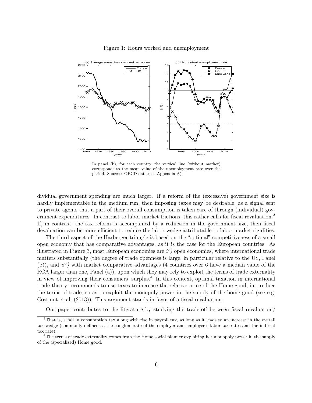

Figure 1: Hours worked and unemployment

In panel (b), for each country, the vertical line (without marker) corresponds to the mean value of the unemployment rate over the period. Source : OECD data (see Appendix A).

dividual government spending are much larger. If a reform of the (excessive) government size is hardly implementable in the medium run, then imposing taxes may be desirable, as a signal sent to private agents that a part of their overall consumption is taken care of through (individual) government expenditures. In contrast to labor market frictions, this rather calls for fiscal revaluation.<sup>3</sup> If, in contrast, the tax reform is accompanied by a reduction in the government size, then fiscal devaluation can be more efficient to reduce the labor wedge attributable to labor market rigidities.

The third aspect of the Harberger triangle is based on the "optimal" competitiveness of a small open economy that has comparative advantages, as it is the case for the European countries. As illustrated in Figure 3, most European economies are  $i^{\circ}$ ) open economies, where international trade matters substantially (the degree of trade openness is large, in particular relative to the US, Panel (b)), and  $ii^{\circ}$ ) with market comparative advantages (4 countries over 6 have a median value of the RCA larger than one, Panel (a)), upon which they may rely to exploit the terms of trade externality in view of improving their consumers' surplus.<sup>4</sup> In this context, optimal taxation in international trade theory recommends to use taxes to increase the relative price of the Home good, i.e. reduce the terms of trade, so as to exploit the monopoly power in the supply of the home good (see e.g. Costinot et al. (2013)): This argument stands in favor of a fiscal revaluation.

Our paper contributes to the literature by studying the trade-off between fiscal revaluation/

<sup>&</sup>lt;sup>3</sup>That is, a fall in consumption tax along with rise in payroll tax, as long as it leads to an increase in the overall tax wedge (commonly defined as the conglomerate of the employer and employee's labor tax rates and the indirect tax rate).

<sup>&</sup>lt;sup>4</sup>The terms of trade externality comes from the Home social planner exploiting her monopoly power in the supply of the (specialized) Home good.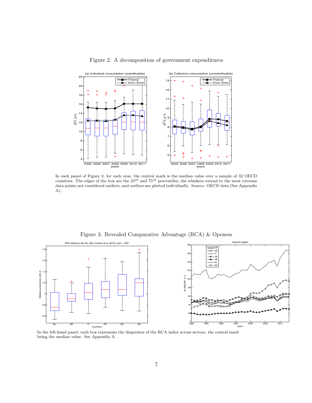

Figure 2: A decomposition of government expenditures

In each panel of Figure 2, for each year, the central mark is the median value over a sample of 32 OECD countries. The edges of the box are the  $25^{th}$  and  $75^{th}$  percentiles, the whiskers extend to the most extreme data points not considered outliers, and outliers are plotted individually. Source: OECD data (See Appendix A).

Figure 3: Revealed Comparative Advantage (RCA) & Openess



In the left-hand panel, each box represents the dispersion of the RCA index across sectors, the central mark being the median value. See Appendix A.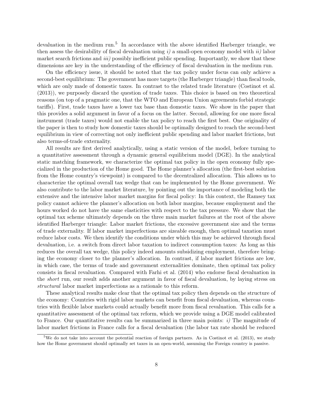devaluation in the medium run.<sup>5</sup> In accordance with the above identified Harberger triangle, we then assess the desirability of fiscal devaluation using i) a small-open economy model with ii) labor market search frictions and *iii*) possibly inefficient public spending. Importantly, we show that these dimensions are key in the understanding of the efficiency of fiscal devaluation in the medium run.

On the efficiency issue, it should be noted that the tax policy under focus can only achieve a second-best equilibrium: The government has more targets (the Harberger triangle) than fiscal tools, which are only made of domestic taxes. In contrast to the related trade literature (Costinot et al. (2013)), we purposely discard the question of trade taxes. This choice is based on two theoretical reasons (on top of a pragmatic one, that the WTO and European Union agreements forbid strategic tariffs). First, trade taxes have a lower tax base than domestic taxes. We show in the paper that this provides a solid argument in favor of a focus on the latter. Second, allowing for one more fiscal instrument (trade taxes) would not enable the tax policy to reach the first best. One originality of the paper is then to study how domestic taxes should be optimally designed to reach the second-best equilibrium in view of correcting not only inefficient public spending and labor market frictions, but also terms-of-trade externality.

All results are first derived analytically, using a static version of the model, before turning to a quantitative assessment through a dynamic general equilibrium model (DGE). In the analytical static matching framework, we characterize the optimal tax policy in the open economy fully specialized in the production of the Home good. The Home planner's allocation (the first-best solution from the Home country's viewpoint) is compared to the decentralized allocation. This allows us to characterize the optimal overall tax wedge that can be implemented by the Home government. We also contribute to the labor market literature, by pointing out the importance of modeling both the extensive and the intensive labor market margins for fiscal policy: In this context, the Ramsey tax policy cannot achieve the planner's allocation on both labor margins, because employment and the hours worked do not have the same elasticities with respect to the tax pressure. We show that the optimal tax scheme ultimately depends on the three main market failures at the root of the above identified Harberger triangle: Labor market frictions, the excessive government size and the terms of trade externality. If labor market imperfections are sizeable enough, then optimal taxation must reduce labor costs. We then identify the conditions under which this may be achieved through fiscal devaluation, i.e. a switch from direct labor taxation to indirect consumption taxes: As long as this reduces the overall tax wedge, this policy indeed amounts subsidizing employment, therefore bringing the economy closer to the planner's allocation. In contrast, if labor market frictions are low, in which case, the terms of trade and government externalities dominate, then optimal tax policy consists in fiscal revaluation. Compared with Farhi et al. (2014) who endorse fiscal devaluation in the short run, our result adds another argument in favor of fiscal devaluation, by laying stress on structural labor market imperfections as a rationale to this reform.

These analytical results make clear that the optimal tax policy then depends on the structure of the economy: Countries with rigid labor markets can benefit from fiscal devaluation, whereas countries with flexible labor markets could actually benefit more from fiscal revaluation. This calls for a quantitative assessment of the optimal tax reform, which we provide using a DGE model calibrated to France. Our quantitative results can be summarized in three main points:  $i$ ) The magnitude of labor market frictions in France calls for a fiscal devaluation (the labor tax rate should be reduced

<sup>&</sup>lt;sup>5</sup>We do not take into account the potential reaction of foreign partners. As in Costinot et al. (2013), we study how the Home government should optimally set taxes in an open-world, assuming the Foreign country is passive.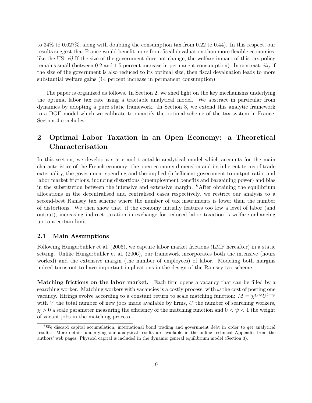to 34% to 0.027%, along with doubling the consumption tax from 0.22 to 0.44). In this respect, our results suggest that France would benefit more from fiscal devaluation than more flexible economies, like the US;  $ii)$  If the size of the government does not change, the welfare impact of this tax policy remains small (between  $0.2$  and  $1.5$  percent increase in permanent consumption). In contrast, *iii*) if the size of the government is also reduced to its optimal size, then fiscal devaluation leads to more substantial welfare gains (14 percent increase in permanent consumption).

The paper is organized as follows. In Section 2, we shed light on the key mechanisms underlying the optimal labor tax rate using a tractable analytical model. We abstract in particular from dynamics by adopting a pure static framework. In Section 3, we extend this analytic framework to a DGE model which we calibrate to quantify the optimal scheme of the tax system in France. Section 4 concludes.

## 2 Optimal Labor Taxation in an Open Economy: a Theoretical Characterisation

In this section, we develop a static and tractable analytical model which accounts for the main characteristics of the French economy: the open economy dimension and its inherent terms of trade externality, the government spending and the implied (in)efficient government-to-output ratio, and labor market frictions, inducing distortions (unemployment benefits and bargaining power) and bias in the substitution between the intensive and extensive margin. <sup>6</sup>After obtaining the equilibrium allocations in the decentralised and centralised cases respectively, we restrict our analysis to a second-best Ramsey tax scheme where the number of tax instruments is lower than the number of distortions. We then show that, if the economy initially features too low a level of labor (and output), increasing indirect taxation in exchange for reduced labor taxation is welfare enhancing up to a certain limit.

#### 2.1 Main Assumptions

Following Hungerbuhler et al. (2006), we capture labor market frictions (LMF hereafter) in a static setting. Unlike Hungerbuhler et al. (2006), our framework incorporates both the intensive (hours worked) and the extensive margin (the number of employees) of labor. Modeling both margins indeed turns out to have important implications in the design of the Ramsey tax scheme.

Matching frictions on the labor market. Each firm opens a vacancy that can be filled by a searching worker. Matching workers with vacancies is a costly process, with  $\overline{\omega}$  the cost of posting one vacancy. Hirings evolve according to a constant return to scale matching function:  $M = \chi V^{\psi} U^{1-\psi}$ with V the total number of new jobs made available by firms,  $U$  the number of searching workers,  $\chi > 0$  a scale parameter measuring the efficiency of the matching function and  $0 < \psi < 1$  the weight of vacant jobs in the matching process.

<sup>6</sup>We discard capital accumulation, international bond trading and government debt in order to get analytical results. More details underlying our analytical results are available in the online technical Appendix from the authors' web pages. Physical capital is included in the dynamic general equilibrium model (Section 3).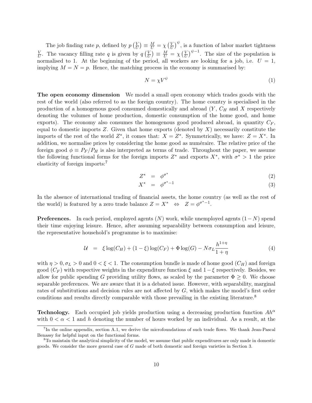The job finding rate p, defined by  $p\left(\frac{V}{U}\right)$  $\left(\frac{V}{U}\right) \equiv \frac{M}{U} = \chi\left(\frac{V}{U}\right)$  $\left(\frac{V}{U}\right)^{\psi}$ , is a function of labor market tightness  $\overline{V}$  $\frac{V}{U}$ . The vacancy filling rate q is given by  $q\left(\frac{V}{U}\right)$  $\left(\frac{V}{U}\right) \equiv \frac{M}{U} = \chi\left(\frac{V}{U}\right)$  $\left(\frac{V}{U}\right)^{\psi-1}$ . The size of the population is normalised to 1. At the beginning of the period, all workers are looking for a job, i.e.  $U = 1$ , implying  $M = N = p$ . Hence, the matching process in the economy is summarised by:

$$
N = \chi V^{\psi} \tag{1}
$$

The open economy dimension We model a small open economy which trades goods with the rest of the world (also referred to as the foreign country). The home country is specialised in the production of a homogenous good consumed domestically and abroad  $(Y, C_H$  and X respectively denoting the volumes of home production, domestic consumption of the home good, and home exports). The economy also consumes the homogenous good produced abroad, in quantity  $C_F$ , equal to domestic imports  $Z$ . Given that home exports (denoted by  $X$ ) necessarily constitute the imports of the rest of the world  $Z^*$ , it comes that:  $X = Z^*$ . Symmetrically, we have:  $Z = X^*$ . In addition, we normalise prices by considering the home good as numéraire. The relative price of the foreign good  $\phi \equiv P_F/P_H$  is also interpreted as terms of trade. Throughout the paper, we assume the following functional forms for the foreign imports  $Z^*$  and exports  $X^*$ , with  $\sigma^* > 1$  the price elasticity of foreign imports:<sup>7</sup>

$$
Z^* = \phi^{\sigma^*} \tag{2}
$$

$$
X^* = \phi^{\sigma^* - 1} \tag{3}
$$

In the absence of international trading of financial assets, the home country (as well as the rest of the world) is featured by a zero trade balance  $Z = X^* \iff Z = \phi^{\sigma^* - 1}$ .

**Preferences.** In each period, employed agents  $(N)$  work, while unemployed agents  $(1-N)$  spend their time enjoying leisure. Hence, after assuming separability between consumption and leisure, the representative household's programme is to maximise:

$$
\mathcal{U} = \xi \log(C_H) + (1 - \xi) \log(C_F) + \Phi \log(G) - N \sigma_L \frac{h^{1+\eta}}{1+\eta}
$$
\n
$$
\tag{4}
$$

with  $\eta > 0, \sigma_L > 0$  and  $0 < \xi < 1$ . The consumption bundle is made of home good  $(C_H)$  and foreign good  $(C_F)$  with respective weights in the expenditure function  $\xi$  and  $1-\xi$  respectively. Besides, we allow for public spending G providing utility flows, as scaled by the parameter  $\Phi \geq 0$ . We choose separable preferences. We are aware that it is a debated issue. However, with separability, marginal rates of substitutions and decision rules are not affected by G, which makes the model's first order conditions and results directly comparable with those prevailing in the existing literature.<sup>8</sup>

**Technology.** Each occupied job yields production using a decreasing production function  $Ah^{\alpha}$ with  $0 < \alpha < 1$  and h denoting the number of hours worked by an individual. As a result, at the

<sup>&</sup>lt;sup>7</sup>In the online appendix, section A.1, we derive the microfoundations of such trade flows. We thank Jean-Pascal Benassy for helpful input on the functional forms.

<sup>&</sup>lt;sup>8</sup>To maintain the analytical simplicity of the model, we assume that public expenditures are only made in domestic goods. We consider the more general case of G made of both domestic and foreign varieties in Section 3.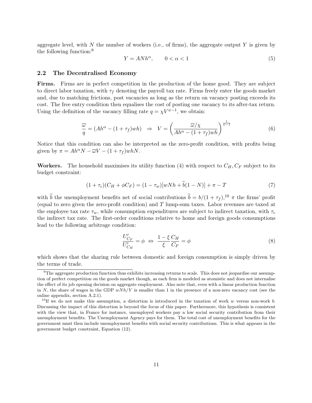aggregate level, with  $N$  the number of workers (i.e., of firms), the aggregate output  $Y$  is given by the following function:<sup>9</sup>

$$
Y = ANh^{\alpha}, \qquad 0 < \alpha < 1 \tag{5}
$$

#### 2.2 The Decentralised Economy

Firms. Firms are in perfect competition in the production of the home good. They are subject to direct labor taxation, with  $\tau_f$  denoting the payroll tax rate. Firms freely enter the goods market and, due to matching frictions, post vacancies as long as the return on vacancy posting exceeds its cost. The free entry condition then equalises the cost of posting one vacancy to its after-tax return. Using the definition of the vacancy filling rate  $q = \chi V^{\psi-1}$ , we obtain:

$$
\frac{\overline{\omega}}{q} = (Ah^{\alpha} - (1 + \tau_f)wh) \Rightarrow V = \left(\frac{\overline{\omega}/\chi}{Ah^{\alpha} - (1 + \tau_f)wh}\right)^{\frac{1}{\psi - 1}}
$$
(6)

Notice that this condition can also be interpreted as the zero-profit condition, with profits being given by  $\pi = Ah^{\alpha}N - \overline{\omega}V - (1 + \tau_f)whN$ .

**Workers.** The household maximises its utility function (4) with respect to  $C_H$ ,  $C_F$  subject to its budget constraint:

$$
(1 + \tau_c)(C_H + \phi C_F) = (1 - \tau_w)[wNh + b(1 - N)] + \pi - T
$$
\n(7)

with  $\tilde{b}$  the unemployment benefits net of social contributions  $\tilde{b} = b/(1 + \tau_f),^{10} \pi$  the firms' profit (equal to zero given the zero-profit condition) and  $T$  lump-sum taxes. Labor revenues are taxed at the employee tax rate  $\tau_w$ , while consumption expenditures are subject to indirect taxation, with  $\tau_c$ the indirect tax rate. The first-order conditions relative to home and foreign goods consumptions lead to the following arbitrage condition:

$$
\frac{U'_{C_F}}{U'_{C_H}} = \phi \iff \frac{1 - \xi C_H}{\xi C_F} = \phi
$$
\n
$$
(8)
$$

which shows that the sharing rule between domestic and foreign consumption is simply driven by the terms of trade.

 $9$ The aggregate production function thus exhibits increasing returns to scale. This does not jeopardise our assumption of perfect competition on the goods market though, as each firm is modeled as atomistic and does not internalise the effect of its job opening decision on aggregate employment. Also note that, even with a linear production function in N, the share of wages in the GDP  $wNh/Y$  is smaller than 1 in the presence of a non-zero vacancy cost (see the online appendix, section A.2.1).

<sup>&</sup>lt;sup>10</sup>If we do not make this assumption, a distortion is introduced in the taxation of work w versus non-work b. Discussing the impact of this distortion is beyond the focus of this paper. Furthermore, this hypothesis is consistent with the view that, in France for instance, unemployed workers pay a low social security contribution from their unemployment benefits. The Unemployment Agency pays for them. The total cost of unemployment benefits for the government must then include unemployment benefits with social security contributions. This is what appears in the government budget constraint, Equation (12).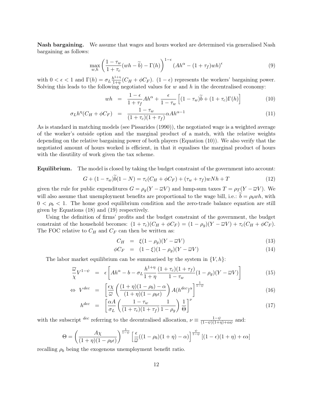Nash bargaining. We assume that wages and hours worked are determined via generalised Nash bargaining as follows:

$$
\max_{w,h} \left( \frac{1 - \tau_w}{1 + \tau_c} (wh - \tilde{b}) - \Gamma(h) \right)^{1 - \epsilon} (Ah^{\alpha} - (1 + \tau_f)wh)^{\epsilon} \tag{9}
$$

with  $0 < \epsilon < 1$  and  $\Gamma(h) = \sigma_L \frac{h^{1+\eta}}{1+\eta}$  $\frac{h^{1+\eta}}{1+\eta}(C_H + \phi C_F)$ .  $(1-\epsilon)$  represents the workers' bargaining power. Solving this leads to the following negotiated values for  $w$  and  $h$  in the decentralised economy:

$$
wh = \frac{1-\epsilon}{1+\tau_f}Ah^{\alpha} + \frac{\epsilon}{1-\tau_w} \left[ (1-\tau_w)\tilde{b} + (1+\tau_c)\Gamma(h) \right] \tag{10}
$$

$$
\sigma_L h^{\eta} (C_H + \phi C_F) = \frac{1 - \tau_w}{(1 + \tau_c)(1 + \tau_f)} \alpha A h^{\alpha - 1}
$$
\n(11)

As is standard in matching models (see Pissarides (1990)), the negotiated wage is a weighted average of the worker's outside option and the marginal product of a match, with the relative weights depending on the relative bargaining power of both players (Equation (10)). We also verify that the negotiated amount of hours worked is efficient, in that it equalises the marginal product of hours with the disutility of work given the tax scheme.

Equilibrium. The model is closed by taking the budget constraint of the government into account:

$$
G + (1 - \tau_w)\tilde{b}(1 - N) = \tau_c(C_H + \phi C_F) + (\tau_w + \tau_f)wNh + T
$$
\n(12)

given the rule for public expenditures  $G = \rho_q(Y - \overline{\omega}V)$  and lump-sum taxes  $T = \rho_T(Y - \overline{\omega}V)$ . We will also assume that unemployment benefits are proportional to the wage bill, i.e.:  $\tilde{b} = \rho_b w h$ , with  $0 < \rho_b < 1$ . The home good equilibrium condition and the zero-trade balance equation are still given by Equations (18) and (19) respectively.

Using the definition of firms' profits and the budget constraint of the government, the budget constraint of the household becomes:  $(1 + \tau_c)(C_H + \phi C_F) = (1 - \rho_g)(Y - \overline{\omega} V) + \tau_c(C_H + \phi C_F)$ . The FOC relative to  $C_H$  and  $C_F$  can then be written as:

$$
C_H = \xi (1 - \rho_g)(Y - \overline{\omega}V) \tag{13}
$$

$$
\phi C_F = (1 - \xi)(1 - \rho_g)(Y - \overline{\omega}V) \tag{14}
$$

The labor market equilibrium can be summarised by the system in  $\{V, h\}$ :

$$
\frac{\overline{\omega}}{\chi}V^{1-\psi} = \epsilon \left[ Ah^{\alpha} - b - \sigma_L \frac{h^{1+\eta}}{1+\eta} \frac{(1+\tau_c)(1+\tau_f)}{1-\tau_w} (1-\rho_g)(Y-\overline{\omega}V) \right]
$$
(15)

$$
\Leftrightarrow V^{dec} = \left[ \frac{\epsilon \chi}{\overline{\omega}} \left( \frac{(1+\eta)(1-\rho_b) - \alpha}{(1+\eta)(1-\rho_b \epsilon)} \right) A(h^{dec})^{\alpha} \right]^{\frac{1}{1-\psi}}
$$
(16)

$$
h^{dec} = \left[ \frac{\alpha A}{\sigma_L} \left( \frac{1 - \tau_w}{(1 + \tau_c)(1 + \tau_f)} \frac{1}{1 - \rho_g} \right) \frac{1}{\Theta} \right]^\nu \tag{17}
$$

with the subscript <sup>dec</sup> referring to the decentralised allocation,  $\nu \equiv \frac{1-\psi}{(1-\psi)(1+\eta)+\alpha\psi}$  and:

$$
\Theta = \left(\frac{A\chi}{(1+\eta)(1-\rho_b\epsilon)}\right)^{\frac{1}{1-\psi}} \left[\frac{\epsilon}{\omega}((1-\rho_b)(1+\eta)-\alpha)\right]^{\frac{\psi}{1-\psi}}[(1-\epsilon)(1+\eta)+\epsilon\alpha]
$$

recalling  $\rho_b$  being the exogenous unemployment benefit ratio.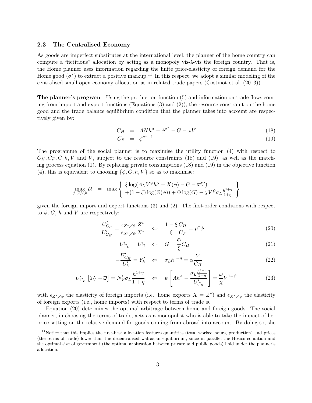#### 2.3 The Centralised Economy

As goods are imperfect substitutes at the international level, the planner of the home country can compute a "fictitious" allocation by acting as a monopoly vis-à-vis the foreign country. That is, the Home planner uses information regarding the finite price-elasticity of foreign demand for the Home good  $(\sigma^*)$  to extract a positive markup.<sup>11</sup> In this respect, we adopt a similar modeling of the centralised small open economy allocation as in related trade papers (Costinot et al. (2013)).

The planner's program Using the production function (5) and information on trade flows coming from import and export functions (Equations (3) and (2)), the resource constraint on the home good and the trade balance equilibrium condition that the planner takes into account are respectively given by:

$$
C_H = ANh^{\alpha} - \phi^{\sigma^*} - G - \overline{\omega}V \tag{18}
$$

$$
C_F = \phi^{\sigma^* - 1} \tag{19}
$$

The programme of the social planner is to maximise the utility function (4) with respect to  $C_H, C_F, G, h, V$  and V, subject to the resource constraints (18) and (19), as well as the matching process equation (1). By replacing private consumptions (18) and (19) in the objective function (4), this is equivalent to choosing  $\{\phi, G, h, V\}$  so as to maximise:

$$
\max_{\phi, G, V, h} \mathcal{U} = \max \left\{ \begin{array}{l} \xi \log(A \chi V^{\psi} h^{\alpha} - X(\phi) - G - \overline{\omega} V) \\ + (1 - \xi) \log(Z(\phi)) + \Phi \log(G) - \chi V^{\psi} \sigma_L \frac{h^{1 + \eta}}{1 + \eta} \end{array} \right\}
$$

given the foreign import and export functions (3) and (2). The first-order conditions with respect to  $\phi$ , G, h and V are respectively:

$$
\frac{U'_{C_F}}{U'_{C_H}} = \frac{\epsilon_{Z^*}/\phi}{\epsilon_{X^*}/\phi} \frac{Z^*}{X^*} \quad \Leftrightarrow \quad \frac{1-\xi}{\xi} \frac{C_H}{C_F} = \mu^* \phi \tag{20}
$$

$$
U'_{C_H} = U'_G \quad \Leftrightarrow \quad G = \frac{\Phi}{\xi} C_H \tag{21}
$$

$$
-\frac{U'_{C_H}}{U'_h} = Y'_h \quad \Leftrightarrow \quad \sigma_L h^{1+\eta} = \alpha \frac{Y}{C_H} \tag{22}
$$

$$
U'_{C_H} \left[ Y'_V - \overline{\omega} \right] = N'_V \sigma_L \frac{h^{1+\eta}}{1+\eta} \quad \Leftrightarrow \quad \psi \left[ A h^{\alpha} - \frac{\sigma_L \frac{h^{1+\eta}}{1+\eta}}{U'_{C_H}} \right] = \frac{\overline{\omega}}{\chi} V^{1-\psi}
$$
 (23)

with  $\epsilon_{Z^*/\phi}$  the elasticity of foreign imports (i.e., home exports  $X = Z^*$ ) and  $\epsilon_{X^*/\phi}$  the elasticity of foreign exports (i.e., home imports) with respect to terms of trade  $\phi$ .

Equation (20) determines the optimal arbitrage between home and foreign goods. The social planner, in choosing the terms of trade, acts as a monopolist who is able to take the impact of her price setting on the relative demand for goods coming from abroad into account. By doing so, she

 $11$ Notice that this implies the first-best allocation features quantities (total worked hours, production) and prices (the terms of trade) lower than the decentralised walrasian equilibrium, since in parallel the Hosios condition and the optimal size of government (the optimal arbitration between private and public goods) hold under the planner's allocation.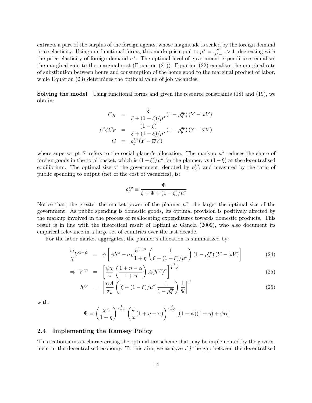extracts a part of the surplus of the foreign agents, whose magnitude is scaled by the foreign demand price elasticity. Using our functional forms, this markup is equal to  $\mu^* = \frac{\sigma^*}{\sigma^* - 1} > 1$ , decreasing with the price elasticity of foreign demand  $\sigma^*$ . The optimal level of government expenditures equalises the marginal gain to the marginal cost (Equation  $(21)$ ). Equation  $(22)$  equalises the marginal rate of substitution between hours and consumption of the home good to the marginal product of labor, while Equation  $(23)$  determines the optimal value of job vacancies.

Solving the model Using functional forms and given the resource constraints (18) and (19), we obtain:

$$
C_H = \frac{\xi}{\xi + (1 - \xi)/\mu^*} (1 - \rho_g^{sp}) (Y - \overline{\omega}V)
$$
  

$$
\mu^* \phi C_F = \frac{(1 - \xi)}{\xi + (1 - \xi)/\mu^*} (1 - \rho_g^{sp}) (Y - \overline{\omega}V)
$$
  

$$
G = \rho_g^{sp} (Y - \overline{\omega}V)
$$

where superscript  $^{sp}$  refers to the social planer's allocation. The markup  $\mu^*$  reduces the share of foreign goods in the total basket, which is  $(1 - \xi)/\mu^*$  for the planner, vs  $(1 - \xi)$  at the decentralised equilibrium. The optimal size of the government, denoted by  $\rho_g^{sp}$ , and measured by the ratio of public spending to output (net of the cost of vacancies), is:

$$
\rho_g^{sp} \equiv \frac{\Phi}{\xi + \Phi + (1 - \xi)/\mu^*}
$$

Notice that, the greater the market power of the planner  $\mu^*$ , the larger the optimal size of the government. As public spending is domestic goods, its optimal provision is positively affected by the markup involved in the process of reallocating expenditures towards domestic products. This result is in line with the theoretical result of Epifani & Gancia (2009), who also document its empirical relevance in a large set of countries over the last decade.

For the labor market aggregates, the planner's allocation is summarized by:

$$
\frac{\overline{\omega}}{\chi}V^{1-\psi} = \psi \left[ Ah^{\alpha} - \sigma_L \frac{h^{1+\eta}}{1+\eta} \left( \frac{1}{\xi + (1-\xi)/\mu^*} \right) (1-\rho_g^{sp}) (Y-\overline{\omega}V) \right]
$$
(24)

$$
\Rightarrow V^{sp} = \left[ \frac{\psi \chi}{\overline{\omega}} \left( \frac{1 + \eta - \alpha}{1 + \eta} \right) A (h^{sp})^{\alpha} \right]^{\frac{1}{1 - \psi}}
$$
(25)

$$
h^{sp} = \left[ \frac{\alpha A}{\sigma_L} \left( \left[ \xi + (1 - \xi) / \mu^* \right] \frac{1}{1 - \rho_g^{sp}} \right) \frac{1}{\Psi} \right]^\nu \tag{26}
$$

with:

$$
\Psi = \left(\frac{\chi A}{1+\eta}\right)^{\frac{1}{1-\psi}} \left(\frac{\psi}{\overline{\omega}}(1+\eta-\alpha)\right)^{\frac{\psi}{1-\psi}}[(1-\psi)(1+\eta)+\psi\alpha]
$$

#### 2.4 Implementing the Ramsey Policy

This section aims at characterising the optimal tax scheme that may be implemented by the government in the decentralised economy. To this aim, we analyze  $i^{\circ}$  the gap between the decentralised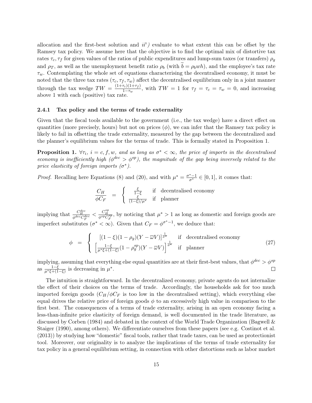allocation and the first-best solution and  $ii^\circ$ ) evaluate to what extent this can be offset by the Ramsey tax policy. We assume here that the objective is to find the optimal mix of distortive tax rates  $\tau_c$ ,  $\tau_f$  for given values of the ratios of public expenditures and lump-sum taxes (or transfers)  $\rho_q$ and  $\rho_T$ , as well as the unemployment benefit ratio  $\rho_b$  (with  $b = \rho_b wh$ ), and the employee's tax rate  $\tau_w$ . Contemplating the whole set of equations characterising the decentralised economy, it must be noted that the three tax rates  $(\tau_c, \tau_f, \tau_w)$  affect the decentralised equilibrium only in a joint manner through the tax wedge  $TW = \frac{(1+\tau_c)(1+\tau_f)}{1-\tau_c}$  $\frac{\tau_{c}(1+\tau_{f})}{1-\tau_{w}},$  with  $TW = 1$  for  $\tau_{f} = \tau_{c} = \tau_{w} = 0$ , and increasing above 1 with each (positive) tax rate.

#### 2.4.1 Tax policy and the terms of trade externality

Given that the fiscal tools available to the government (i.e., the tax wedge) have a direct effect on quantities (more precisely, hours) but not on prices  $(\phi)$ , we can infer that the Ramsey tax policy is likely to fail in offsetting the trade externality, measured by the gap between the decentralized and the planner's equilibrium values for the terms of trade. This is formally stated in Proposition 1.

**Proposition 1.**  $\forall \tau_i$ ,  $i = c, f, w$ , and as long as  $\sigma^* < \infty$ , the price of imports in the decentralised economy is inefficiently high ( $\phi^{dec} > \phi^{sp}$ ), the magnitude of the gap being inversely related to the price elasticity of foreign imports  $(\sigma^*)$ .

*Proof.* Recalling here Equations (8) and (20), and with  $\mu^* = \frac{\sigma^* - 1}{\sigma^*} \in [0, 1]$ , it comes that:

$$
\frac{C_H}{\phi C_F} = \begin{cases} \frac{\xi}{1-\xi} & \text{if } \text{decentralised economy} \\ \frac{\xi}{(1-\xi)/\mu^*} & \text{if } \text{ planner} \end{cases}
$$

implying that  $\frac{C_H^{dec}}{\phi^{dec}C_F^{dec}} < \frac{C_H^{sp}}{\phi^{sp}C_F^{sp}}$ , by noticing that  $\mu^* > 1$  as long as domestic and foreign goods are imperfect substitutes  $(\sigma^* < \infty)$ . Given that  $C_F = \phi^{\sigma^* - 1}$ , we deduce that:

$$
\phi = \begin{cases}\n\left[ (1 - \xi)(1 - \rho_g)(Y - \overline{\omega}V) \right]^{\frac{1}{\sigma^*}} & \text{if } \text{decentralised economy} \\
\left[ \frac{1 - \xi}{\mu^* \xi + (1 - \xi)} (1 - \rho_g^{sp})(Y - \overline{\omega}V) \right]^{\frac{1}{\sigma^*}} & \text{if } \text{ planner}\n\end{cases}
$$
\n(27)

implying, assuming that everything else equal quantities are at their first-best values, that  $\phi^{dec} > \phi^{sp}$ as  $\frac{1-\xi}{\mu^* \xi + (1-\xi)}$  $\frac{1-\xi}{\mu^*\xi+(1-\xi)}$  is decreasing in  $\mu^*$ .  $\Box$ 

The intuition is straightforward. In the decentralized economy, private agents do not internalize the effect of their choices on the terms of trade. Accordingly, the households ask for too much imported foreign goods  $(C_H/\phi C_F)$  is too low in the decentralised setting), which everything else equal drives the relative price of foreign goods  $\phi$  to an excessively high value in comparison to the first best. The consequences of a terms of trade externality, arising in an open economy facing a less-than-infinite price elasticity of foreign demand, is well documented in the trade literature, as discussed by Corben (1984) and debated in the context of the World Trade Organization (Bagwell & Staiger (1990), among others). We differentiate ourselves from these papers (see e.g. Costinot et al. (2013)) by studying how "domestic" fiscal tools, rather that trade taxes, can be used as protectionist tool. Moreover, our originality is to analyze the implications of the terms of trade externality for tax policy in a general equilibrium setting, in connection with other distortions such as labor market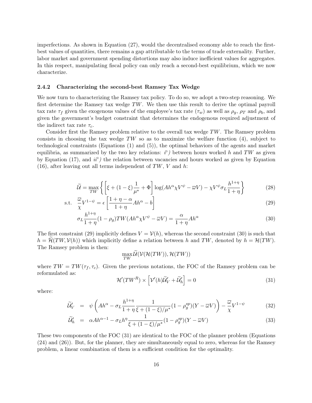imperfections. As shown in Equation (27), would the decentralised economy able to reach the firstbest values of quantities, there remains a gap attributable to the terms of trade externality. Further, labor market and government spending distortions may also induce inefficient values for aggregates. In this respect, manipulating fiscal policy can only reach a second-best equilibrium, which we now characterize.

#### 2.4.2 Characterizing the second-best Ramsey Tax Wedge

We now turn to characterizing the Ramsey tax policy. To do so, we adopt a two-step reasoning. We first determine the Ramsey tax wedge  $TW$ . We then use this result to derive the optimal payroll tax rate  $\tau_f$  given the exogenous values of the employee's tax rate  $(\tau_w)$  as well as  $\rho_g$ ,  $\rho_T$  and  $\rho_b$ , and given the government's budget constraint that determines the endogenous required adjustment of the indirect tax rate  $\tau_c$ .

Consider first the Ramsey problem relative to the overall tax wedge TW. The Ramsey problem consists in choosing the tax wedge TW so as to maximize the welfare function  $(4)$ , subject to technological constraints (Equations (1) and (5)), the optimal behaviors of the agents and market equilibria, as summarized by the two key relations:  $i^{\circ}$ ) between hours worked h and TW as given by Equation (17), and  $ii^\circ$ ) the relation between vacancies and hours worked as given by Equation  $(16)$ , after leaving out all terms independent of TW, V and h:

$$
\widetilde{\mathcal{U}} = \max_{TW} \left\{ \left[ \xi + (1 - \xi) \frac{1}{\mu^*} + \Phi \right] \log(Ah^{\alpha} \chi V^{\psi} - \overline{\omega} V) - \chi V^{\psi} \sigma_L \frac{h^{1 + \eta}}{1 + \eta} \right\} \tag{28}
$$

$$
\text{s.t. } \frac{\overline{\omega}}{\chi} V^{1-\psi} = \epsilon \left[ \frac{1+\eta-\alpha}{1+\eta} A h^{\alpha} - b \right] \tag{29}
$$

$$
\sigma_L \frac{h^{1+\eta}}{1+\eta} (1-\rho_g) T W (A h^{\alpha} \chi V^{\psi} - \overline{\omega} V) = \frac{\alpha}{1+\eta} A h^{\alpha}
$$
\n(30)

The first constraint (29) implicitly defines  $V = V(h)$ , whereas the second constraint (30) is such that  $h = \mathcal{H}(TW, \mathcal{V}(h))$  which implicitly define a relation between h and TW, denoted by  $h = \mathcal{H}(TW)$ . The Ramsey problem is then:

$$
\max_{TW}\widetilde{\mathcal{U}}(\mathcal{V}(\mathcal{H}(TW)),\mathcal{H}(TW))
$$

where  $TW = TW(\tau_f, \tau_c)$ . Given the previous notations, the FOC of the Ramsey problem can be reformulated as:

$$
\mathcal{H}'(TW^R) \times \left[ \mathcal{V}'(h)\widetilde{\mathcal{U}}'_V + \widetilde{\mathcal{U}}'_h \right] = 0 \tag{31}
$$

where:

$$
\widetilde{\mathcal{U}}'_V = \psi \left( Ah^\alpha - \sigma_L \frac{h^{1+\eta}}{1+\eta} \frac{1}{\xi + (1-\xi)/\mu^*} (1-\rho_g^{sp})(Y-\overline{\omega}V) \right) - \frac{\overline{\omega}}{\chi} V^{1-\psi} \tag{32}
$$

$$
\widetilde{\mathcal{U}}_h' = \alpha A h^{\alpha - 1} - \sigma_L h^{\eta} \frac{1}{\xi + (1 - \xi)/\mu^*} (1 - \rho_g^{sp})(Y - \overline{\omega} V) \tag{33}
$$

These two components of the FOC (31) are identical to the FOC of the planner problem (Equations (24) and (26)). But, for the planner, they are simultaneously equal to zero, whereas for the Ramsey problem, a linear combination of them is a sufficient condition for the optimality.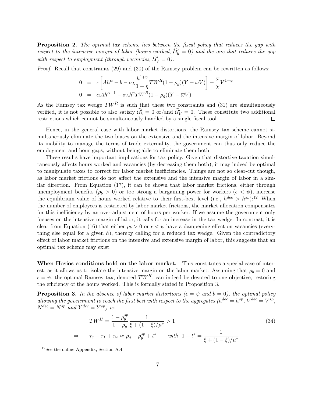Proposition 2. The optimal tax scheme lies between the fiscal policy that reduces the gap with respect to the intensive margin of labor (hours worked,  $\widetilde{\mathcal{U}}'_h = 0$ ) and the one that reduces the gap with respect to employment (through vacancies,  $\widetilde{\mathcal{U}}_V' = 0$ ).

Proof. Recall that constraints (29) and (30) of the Ramsey problem can be rewritten as follows:

$$
0 = \epsilon \left[ Ah^{\alpha} - b - \sigma_L \frac{h^{1+\eta}}{1+\eta} TW^{R} (1-\rho_g)(Y-\overline{\omega}V) \right] - \frac{\overline{\omega}}{\chi} V^{1-\psi}
$$
  
\n
$$
0 = \alpha Ah^{\alpha-1} - \sigma_L h^{\eta} TW^{R} (1-\rho_g)(Y-\overline{\omega}V)
$$

As the Ramsey tax wedge  $TW^R$  is such that these two constraints and (31) are simultaneously verified, it is not possible to also satisfy  $\widetilde{\mathcal{U}}'_h = 0$  or/and  $\widetilde{\mathcal{U}}'_V = 0$ . These constitute two additional restrictions which cannot be simultaneously handled by a single fiscal tool.  $\Box$ 

Hence, in the general case with labor market distortions, the Ramsey tax scheme cannot simultaneously eliminate the two biases on the extensive and the intensive margin of labor. Beyond its inability to manage the terms of trade externality, the government can thus only reduce the employment and hour gaps, without being able to eliminate them both.

These results have important implications for tax policy. Given that distortive taxation simultaneously affects hours worked and vacancies (by decreasing them both), it may indeed be optimal to manipulate taxes to correct for labor market inefficiencies. Things are not so clear-cut though, as labor market frictions do not affect the extensive and the intensive margin of labor in a similar direction. From Equation (17), it can be shown that labor market frictions, either through unemployment benefits  $(\rho_b > 0)$  or too strong a bargaining power for workers  $(\epsilon \langle \psi \rangle)$ , increase the equilibrium value of hours worked relative to their first-best level (i.e.,  $h^{dec} > h^{sp}$ ):<sup>12</sup> When the number of employees is restricted by labor market frictions, the market allocation compensates for this inefficiency by an over-adjustment of hours per worker. If we assume the government only focuses on the intensive margin of labor, it calls for an increase in the tax wedge. In contrast, it is clear from Equation (16) that either  $\rho_b > 0$  or  $\epsilon < \psi$  have a dampening effect on vacancies (everything else equal for a given h), thereby calling for a reduced tax wedge. Given the contradictory effect of labor market frictions on the intensive and extensive margin of labor, this suggests that an optimal tax scheme may exist.

When Hosios conditions hold on the labor market. This constitutes a special case of interest, as it allows us to isolate the intensive margin on the labor market. Assuming that  $\rho_b = 0$  and  $\epsilon = \psi$ , the optimal Ramsey tax, denoted  $TW^{\tilde{H}}$ , can indeed be devoted to one objective, restoring the efficiency of the hours worked. This is formally stated in Proposition 3.

**Proposition 3.** In the absence of labor market distortions ( $\epsilon = \psi$  and  $b = 0$ ), the optimal policy allowing the government to reach the first best with respect to the aggregates ( $h^{dec} = h^{sp}$ ,  $V^{dec} = V^{sp}$ ,  $N^{dec} = N^{sp}$  and  $Y^{dec} = Y^{sp}$ ) is:

$$
TW^{H} = \frac{1 - \rho_g^{sp}}{1 - \rho_g} \frac{1}{\xi + (1 - \xi)/\mu^*} > 1
$$
  
\n
$$
\Rightarrow \tau_c + \tau_f + \tau_w \approx \rho_g - \rho_g^{sp} + t^* \quad \text{with} \quad 1 + t^* = \frac{1}{\xi + (1 - \xi)/\mu^*}
$$
\n(34)

<sup>12</sup>See the online Appendix, Section A.4.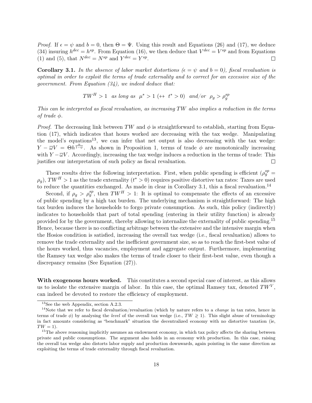Proof. If  $\epsilon = \psi$  and  $b = 0$ , then  $\Theta = \Psi$ . Using this result and Equations (26) and (17), we deduce (34) insuring  $h^{dec} = h^{sp}$ . From Equation (16), we then deduce that  $V^{dec} = V^{sp}$  and from Equations (1) and (5), that  $N^{dec} = N^{sp}$  and  $Y^{dec} = Y^{sp}$ .  $\Box$ 

**Corollary 3.1.** In the absence of labor market distortions ( $\epsilon = \psi$  and  $b = 0$ ), fiscal revaluation is optimal in order to exploit the terms of trade externality and to correct for an excessive size of the government. From Equation  $(34)$ , we indeed deduce that:

$$
TW^H > 1 \text{ as long as } \mu^* > 1 \ (\leftrightarrow t^* > 0) \ \text{and/or } \rho_g > \rho_g^{sp}
$$

This can be interpreted as fiscal revaluation, as increasing TW also implies a reduction in the terms of trade φ.

*Proof.* The decreasing link between TW and  $\phi$  is straightforward to establish, starting from Equation (17), which indicates that hours worked are decreasing with the tax wedge. Manipulating the model's equations<sup>13</sup>, we can infer that net output is also decreasing with the tax wedge:  $Y - \overline{\omega}V = \Theta h^{\frac{\alpha}{1-\psi}}$ . As shown in Proposition 1, terms of trade  $\phi$  are monotonically increasing with  $Y - \overline{\omega}V$ . Accordingly, increasing the tax wedge induces a reduction in the terms of trade: This justifies our interpretation of such policy as fiscal revaluation.  $\Box$ 

These results drive the following interpretation. First, when public spending is efficient  $(\rho_g^{sp} =$  $(\rho_g)$ ,  $TW^H > 1$  as the trade externality  $(t^* > 0)$  requires positive distortive tax rates: Taxes are used to reduce the quantities exchanged. As made in clear in Corollary 3.1, this a fiscal revaluation.<sup>14</sup>

Second, if  $\rho_g > \rho_g^{sp}$ , then  $TW^H > 1$ : It is optimal to compensate the effects of an excessive of public spending by a high tax burden. The underlying mechanism is straightforward: The high tax burden induces the households to forgo private consumption. As such, this policy (indirectly) indicates to households that part of total spending (entering in their utility function) is already provided for by the government, thereby allowing to internalize the externality of public spending.<sup>15</sup> Hence, because there is no conflicting arbitrage between the extensive and the intensive margin when the Hosios condition is satisfied, increasing the overall tax wedge (i.e., fiscal revaluation) allows to remove the trade externality and the inefficient government size, so as to reach the first-best value of the hours worked, thus vacancies, employment and aggregate output. Furthermore, implementing the Ramsey tax wedge also makes the terms of trade closer to their first-best value, even though a discrepancy remains (See Equation (27)).

With exogenous hours worked. This constitutes a second special case of interest, as this allows us to isolate the extensive margin of labor. In this case, the optimal Ramsey tax, denoted  $TW^V$ , can indeed be devoted to restore the efficiency of employment.

<sup>&</sup>lt;sup>13</sup>See the web Appendix, section A.2.3.

<sup>&</sup>lt;sup>14</sup>Note that we refer to fiscal devaluation/revaluation (which by nature refers to a *change* in tax rates, hence in terms of trade φ) by analysing the level of the overall tax wedge (i.e.,  $TW \ge 1$ ). This slight abuse of terminology in fact amounts considering as "benchmark" situation the decentralized economy with no distortive taxation (ie,  $TW = 1$ .

<sup>&</sup>lt;sup>15</sup>The above reasoning implicitly assumes an endowment economy, in which tax policy affects the sharing between private and public consumptions. The argument also holds in an economy with production. In this case, raising the overall tax wedge also distorts labor supply and production downwards, again pointing in the same direction as exploiting the terms of trade externality through fiscal revaluation.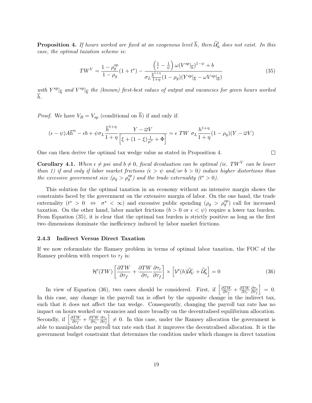**Proposition 4.** If hours worked are fixed at an exogenous level  $\overline{h}$ , then  $\widetilde{\mathcal{U}}'_h$  does not exist. In this case, the optimal taxation scheme is:

$$
TW^{V} = \frac{1 - \rho_g^{sp}}{1 - \rho_g} (1 + t^*) - \frac{\left(\frac{1}{\epsilon} - \frac{1}{\psi}\right) \omega (V^{sp} |_{\overline{h}})^{1 - \psi} + b}{\sigma_L \frac{\overline{h}^{1 + \eta}}{1 + \eta} (1 - \rho_g) (Y^{sp} |_{\overline{h}} - \omega V^{sp} |_{\overline{h}})}\tag{35}
$$

with  $Y^{sp}|_{\overline{h}}$  and  $V^{sp}|_{\overline{h}}$  the (known) first-best values of output and vacancies for given hours worked  $\overline{h}$ 

*Proof.* We have  $V_R = V_{sp}$  (conditional on  $\overline{h}$ ) if and only if:

$$
(\epsilon - \psi)A\overline{h}^{\alpha} - \epsilon b + \psi \sigma_L \frac{\overline{h}^{1+\eta}}{1+\eta} \frac{Y - \overline{\omega}V}{\left[\xi + (1-\xi)\frac{1}{\mu^*} + \Phi\right]} = \epsilon \ TW \ \sigma_L \frac{h^{1+\eta}}{1+\eta} (1-\rho_g)(Y - \overline{\omega}V)
$$

One can then derive the optimal tax wedge value as stated in Proposition 4.

**Corollary 4.1.** When  $\epsilon \neq psi$  and  $b \neq 0$ , fiscal devaluation can be optimal (ie. TW<sup>V</sup> can be lower than 1) if and only if labor market frictions ( $\epsilon > \psi$  and/or  $b > 0$ ) induce higher distortions than the excessive government size  $(\rho_g > \rho_g^{sp})$  and the trade externality  $(t^* > 0)$ .

This solution for the optimal taxation in an economy without an intensive margin shows the constraints faced by the government on the extensive margin of labor. On the one hand, the trade externality  $(t^* > 0 \Leftrightarrow \sigma^* < \infty)$  and excessive public spending  $(\rho_g > \rho_g^{sp})$  call for increased taxation. On the other hand, labor market frictions  $(b > 0 \text{ or } \epsilon < \psi)$  require a lower tax burden. From Equation (35), it is clear that the optimal tax burden is strictly positive as long as the first two dimensions dominate the inefficiency induced by labor market frictions.

#### 2.4.3 Indirect Versus Direct Taxation

If we now reformulate the Ramsey problem in terms of optimal labor taxation, the FOC of the Ramsey problem with respect to  $\tau_f$  is:

$$
\mathcal{H}'(TW)\left[\frac{\partial TW}{\partial \tau_f} + \frac{\partial TW}{\partial \tau_c} \frac{\partial \tau_c}{\partial \tau_f}\right] \times \left[\mathcal{V}'(h)\widetilde{\mathcal{U}}'_V + \widetilde{\mathcal{U}}'_h\right] = 0 \tag{36}
$$

In view of Equation (36), two cases should be considered. First, if  $\left[\frac{\partial TW}{\partial \tau}\right]$  $\frac{\partial TW}{\partial \tau _{f}}+\frac{\partial TW}{\partial \tau _{c}}$  $\partial \tau_c$  $\partial \tau_c$  $\overline{\partial \tau_f}$  $\Big] = 0.$ In this case, any change in the payroll tax is offset by the opposite change in the indirect tax, such that it does not affect the tax wedge. Consequently, changing the payroll tax rate has no impact on hours worked or vacancies and more broadly on the decentralised equilibrium allocation. Secondly, if  $\left[\frac{\partial TW}{\partial \tau_i}\right]$  $\frac{\partial TW}{\partial \tau _{f}}+\frac{\partial TW}{\partial \tau _{c}}$  $\partial \tau_c$  $\partial \tau_c$  $\partial \tau_f$  $\vert \neq 0$ . In this case, under the Ramsey allocation the government is able to manipulate the payroll tax rate such that it improves the decentralised allocation. It is the government budget constraint that determines the condition under which changes in direct taxation

 $\Box$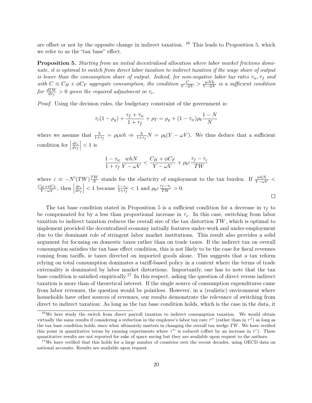are offset or not by the opposite change in indirect taxation.  $^{16}$  This leads to Proposition 5, which we refer to as the "tax base" effect.

Proposition 5. Starting from an initial decentralised allocation where labor market frictions dominate, it is optimal to switch from direct labor taxation to indirect taxation if the wage share of output is lower than the consumption share of output. Indeed, for non-negative labor tax rates  $\tau_w, \tau_f$  and with  $C \equiv C_H + \phi C_F$  aggregate consumption, the condition  $\frac{C}{Y-\overline{\omega}V} > \frac{wNh}{Y-\overline{\omega}V}$  is a sufficient condition for  $\frac{dTW}{d\tau_f} > 0$  given the required adjustment in  $\tau_c$ .

Proof. Using the decision rules, the budgetary constraint of the government is:

$$
\tau_c (1 - \rho_g) + \frac{\tau_f + \tau_w}{1 + \tau_f} + \rho_T = \rho_g + (1 - \tau_w) \rho_b \frac{1 - N}{N}
$$

where we assume that  $\frac{b}{1+\tau_f} = \rho_b w h \Rightarrow \frac{b}{1+\tau_f} N = \rho_b (Y - \omega V)$ . We thus deduce that a sufficient condition for  $\Big|$  $d\tau_c$  $\overline{d\tau_f}$  $\vert$  < 1 is

$$
\frac{1-\tau_w}{1+\tau_f}\frac{whN}{Y-\omega V}<\frac{C_H+\phi C_F}{Y-\omega V}+\rho_b\varepsilon\frac{\tau_f-\tau_c}{TW}
$$

where  $\varepsilon \equiv -N'(TW) \frac{TW}{N}$ W stands for the elasticity of employment to the tax burden. If  $\frac{whN}{Y-\omega V}$  <  $\frac{C_H + \phi C_F}{Y - \omega V}$ , then  $\Big|$ | < 1 because  $\frac{1-\tau_w}{1+\tau_f}$  < 1 and  $\rho_b \varepsilon \frac{\tau_f-\tau_c}{TW} > 0$ .  $d\tau_c$  $d\tau_f$  $\Box$ 

The tax base condition stated in Proposition 5 is a sufficient condition for a decrease in  $\tau_f$  to be compensated for by a less than proportional increase in  $\tau_c$ . In this case, switching from labor taxation to indirect taxation reduces the overall size of the tax distortion  $TW$ , which is optimal to implement provided the decentralized economy initially features under-work and under-employment due to the dominant role of stringent labor market institutions. This result also provides a solid argument for focusing on domestic taxes rather than on trade taxes. If the indirect tax on overall consumption satisfies the tax base effect condition, this is not likely to be the case for fiscal revenues coming from tariffs, ie taxes directed on imported goods alone. This suggests that a tax reform relying on total consumption dominates a tariff-based policy in a context where the terms of trade externality is dominated by labor market distortions. Importantly, one has to note that the tax base condition is satisfied empirically.<sup>17</sup> In this respect, asking the question of direct versus indirect taxation is more than of theoretical interest. If the single source of consumption expenditures came from labor revenues, the question would be pointless. However, in a (realistic) environment where households have other sources of revenues, our results demonstrate the relevance of switching from direct to indirect taxation: As long as the tax base condition holds, which is the case in the data, it

<sup>&</sup>lt;sup>16</sup>We here study the switch from direct payroll taxation to indirect consumption taxation. We would obtain virtually the same results if considering a reduction in the employee's labor tax rate  $\tau^w$  (rather than in  $\tau^f$ ) as long as the tax base condition holds, since what ultimately matters in changing the overall tax wedge  $TW$ . We have verified this point in quantitative terms by running experiments where  $\tau^w$  is reduced (offset by an increase in  $\tau^c$ ). These quantitative results are not reported for sake of space saving but they are available upon request to the authors.

<sup>&</sup>lt;sup>17</sup>We have verified that this holds for a large number of countries over the recent decades, using OECD data on national accounts. Results are available upon request.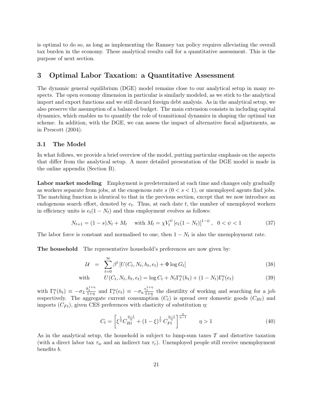is optimal to do so, as long as implementing the Ramsey tax policy requires alleviating the overall tax burden in the economy. These analytical results call for a quantitative assessment. This is the purpose of next section.

## 3 Optimal Labor Taxation: a Quantitative Assessment

The dynamic general equilibrium (DGE) model remains close to our analytical setup in many respects. The open economy dimension in particular is similarly modeled, as we stick to the analytical import and export functions and we still discard foreign debt analysis. As in the analytical setup, we also preserve the assumption of a balanced budget. The main extension consists in including capital dynamics, which enables us to quantify the role of transitional dynamics in shaping the optimal tax scheme. In addition, with the DGE, we can assess the impact of alternative fiscal adjustments, as in Prescott (2004).

#### 3.1 The Model

In what follows, we provide a brief overview of the model, putting particular emphasis on the aspects that differ from the analytical setup. A more detailed presentation of the DGE model is made in the online appendix (Section B).

Labor market modeling Employment is predetermined at each time and changes only gradually as workers separate from jobs, at the exogenous rate  $s$  ( $0 < s < 1$ ), or unemployed agents find jobs. The matching function is identical to that in the previous section, except that we now introduce an endogenous search effort, denoted by  $e_t$ . Thus, at each date  $t$ , the number of unemployed workers in efficiency units is  $e_t(1 - N_t)$  and thus employment evolves as follows:

$$
N_{t+1} = (1 - s)N_t + M_t \quad \text{with } M_t = \chi V_t^{\psi} \left[ e_t (1 - N_t) \right]^{1 - \psi}, \ \ 0 < \psi < 1 \tag{37}
$$

The labor force is constant and normalised to one, then  $1 - N_t$  is also the unemployment rate.

The household The representative household's preferences are now given by:

$$
\mathcal{U} = \sum_{t=0}^{\infty} \beta^t \left[ U(C_t, N_t, h_t, e_t) + \Phi \log G_t \right] \tag{38}
$$

with 
$$
U(C_t, N_t, h_t, e_t) = \log C_t + N_t \Gamma_t^n(h_t) + (1 - N_t) \Gamma_t^u(e_t)
$$
 (39)

with  $\Gamma_t^n(h_t) \equiv -\sigma_L \frac{h_t^{1+\eta}}{1+\eta}$  and  $\Gamma_t^u(e_t) \equiv -\sigma_u \frac{e_t^{1+\eta}}{1+\eta}$  the disutility of working and searching for a job respectively. The aggregate current consumption  $(C_t)$  is spread over domestic goods  $(C_{Ht})$  and imports  $(C_{Ft})$ , given CES preferences with elasticity of substitution  $\eta$ :

$$
C_t = \left[ \xi^{\frac{1}{\eta}} C_{Ht}^{\frac{\eta - 1}{\eta}} + (1 - \xi)^{\frac{1}{\eta}} C_{Ft}^{\frac{\eta - 1}{\eta}} \right]^{\frac{\eta}{\eta - 1}} \qquad \eta > 1 \tag{40}
$$

As in the analytical setup, the household is subject to lump-sum taxes T and distortive taxation (with a direct labor tax  $\tau_w$  and an indirect tax  $\tau_c$ ). Unemployed people still receive unemployment benefits b.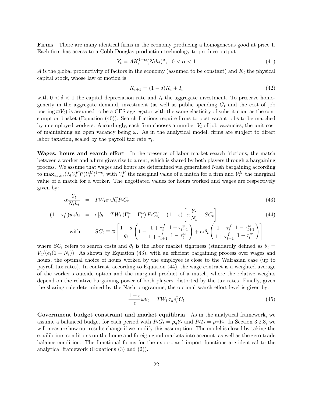Firms There are many identical firms in the economy producing a homogeneous good at price 1. Each firm has access to a Cobb-Douglas production technology to produce output:

$$
Y_t = AK_t^{1-\alpha}(N_t h_t)^{\alpha}, \quad 0 < \alpha < 1
$$
\n<sup>(41)</sup>

A is the global productivity of factors in the economy (assumed to be constant) and  $K_t$  the physical capital stock, whose law of motion is:

$$
K_{t+1} = (1 - \delta)K_t + I_t \tag{42}
$$

with  $0 < \delta < 1$  the capital depreciation rate and  $I_t$  the aggregate investment. To preserve homogeneity in the aggregate demand, investment (as well as public spending  $G_t$  and the cost of job posting  $\overline{\omega}V_t$ ) is assumed to be a CES aggregator with the same elasticity of substitution as the consumption basket (Equation (40)). Search frictions require firms to post vacant jobs to be matched by unemployed workers. Accordingly, each firm chooses a number  $V_t$  of job vacancies, the unit cost of maintaining an open vacancy being  $\overline{\omega}$ . As in the analytical model, firms are subject to direct labor taxation, scaled by the payroll tax rate  $\tau_f$ .

Wages, hours and search effort In the presence of labor market search frictions, the match between a worker and a firm gives rise to a rent, which is shared by both players through a bargaining process. We assume that wages and hours are determined via generalised Nash bargaining according to  $\max_{w_t, h_t} (\lambda_t \mathcal{V}_t^F)^{\epsilon} (\mathcal{V}_t^H)^{1-\epsilon}$ , with  $\mathcal{V}_t^F$  the marginal value of a match for a firm and  $\mathcal{V}_t^H$  the marginal value of a match for a worker. The negotiated values for hours worked and wages are respectively given by:

$$
\alpha \frac{Y_t}{N_t h_t} = TW_t \sigma_L h_t^{\eta} P_t C_t \tag{43}
$$

$$
(1 + \tau_t^f) w_t h_t = \epsilon \left[ b_t + TW_t \left( \Gamma_t^u - \Gamma_t^u \right) P_t C_t \right] + (1 - \epsilon) \left[ \alpha \frac{Y_t}{N_t} + SC_t \right] \tag{44}
$$

with 
$$
SC_t \equiv \overline{\omega} \left[ \frac{1 - s}{q_t} \left( 1 - \frac{1 + \tau_t^f}{1 + \tau_{t+1}^f} \frac{1 - \tau_{t+1}^w}{1 - \tau_t^w} \right) + e_t \theta_t \left( \frac{1 + \tau_t^f}{1 + \tau_{t+1}^f} \frac{1 - \tau_{t+1}^w}{1 - \tau_t^w} \right) \right]
$$

where  $SC_t$  refers to search costs and  $\theta_t$  is the labor market tightness (standardly defined as  $\theta_t =$  $V_t/(e_t(1-N_t))$ . As shown by Equation (43), with an efficient bargaining process over wages and hours, the optimal choice of hours worked by the employee is close to the Walrasian case (up to payroll tax rates). In contrast, according to Equation (44), the wage contract is a weighted average of the worker's outside option and the marginal product of a match, where the relative weights depend on the relative bargaining power of both players, distorted by the tax rates. Finally, given the sharing rule determined by the Nash programme, the optimal search effort level is given by:

$$
\frac{1 - \epsilon}{\epsilon} \overline{\omega} \theta_t = TW_t \sigma_u e_t^{\eta} C_t \tag{45}
$$

Government budget constraint and market equilibria As in the analytical framework, we assume a balanced budget for each period with  $P_tG_t = \rho_g Y_t$  and  $P_tT_t = \rho_T Y_t$ . In Section 3.2.3, we will measure how our results change if we modify this assumption. The model is closed by taking the equilibrium conditions on the home and foreign good markets into account, as well as the zero-trade balance condition. The functional forms for the export and import functions are identical to the analytical framework (Equations (3) and (2)).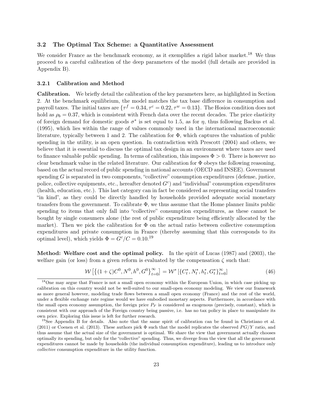### 3.2 The Optimal Tax Scheme: a Quantitative Assessment

We consider France as the benchmark economy, as it exemplifies a rigid labor market.<sup>18</sup> We thus proceed to a careful calibration of the deep parameters of the model (full details are provided in Appendix B).

#### 3.2.1 Calibration and Method

Calibration. We briefly detail the calibration of the key parameters here, as highlighted in Section 2. At the benchmark equilibrium, the model matches the tax base difference in consumption and payroll taxes. The initial taxes are  $\{\tau^f = 0.34, \tau^c = 0.22, \tau^w = 0.13\}$ . The Hosios condition does not hold as  $\rho_b = 0.37$ , which is consistent with French data over the recent decades. The price elasticity of foreign demand for domestic goods  $\sigma^*$  is set equal to 1.5, as for  $\eta$ , thus following Backus et al. (1995), which lies within the range of values commonly used in the international macroeconomic literature, typically between 1 and 2. The calibration for  $\Phi$ , which captures the valuation of public spending in the utility, is an open question. In contradiction with Prescott (2004) and others, we believe that it is essential to discuss the optimal tax design in an environment where taxes are used to finance valuable public spending. In terms of calibration, this imposes  $\Phi > 0$ . There is however no clear benchmark value in the related literature. Our calibration for  $\Phi$  obeys the following reasoning, based on the actual record of public spending in national accounts (OECD and INSEE). Government spending  $G$  is separated in two components, "collective" consumption expenditures (defense, justice, police, collective equipments, etc., hereafter denoted  $G<sup>c</sup>$  and "individual" consumption expenditures (health, education, etc.). This last category can in fact be considered as representing social transfers "in kind", as they could be directly handled by households provided adequate social monetary transfers from the government. To calibrate  $\Phi$ , we thus assume that the Home planner limits public spending to items that only fall into "collective" consumption expenditures, as these cannot be bought by single consumers alone (the rest of public expenditure being efficiently allocated by the market). Then we pick the calibration for  $\Phi$  on the actual ratio between collective consumption expenditures and private consumption in France (thereby assuming that this corresponds to its optimal level), which yields  $\Phi = G^{c}/C = 0.10^{19}$ 

Method: Welfare cost and the optimal policy. In the spirit of Lucas (1987) and (2003), the welfare gain (or loss) from a given reform is evaluated by the compensation  $\zeta$  such that:

$$
\mathcal{W}\left[\left\{(1+\zeta)C^0, N^0, h^0, G^0\right\}_{t=0}^{\infty}\right] = \mathcal{W}^*\left[\left\{C_t^*, N_t^*, h_t^*, G_t^*\right\}_{t=0}^{\infty}\right] \tag{46}
$$

<sup>&</sup>lt;sup>18</sup>One may argue that France is not a small open economy within the European Union, in which case picking up calibration on this country would not be well-suited to our small-open economy modeling. We view our framework as more general however, modeling trade flows between a small open economy (France) and the rest of the world, under a flexible exchange rate regime would we have embodied monetary aspects. Furthermore, in accordance with the small open economy assumption, the foreign price  $P_F$  is considered as exogenous (precisely, constant), which is consistent with our approach of the Foreign country being passive, i.e. has no tax policy in place to manipulate its own price. Exploring this issue is left for further research.

<sup>19</sup>See Appendix B for details. Also note that the same spirit of calibration can be found in Christiano et al. (2011) or Coenen et al. (2013). These authors pick  $\Phi$  such that the model replicates the observed  $PG/Y$  ratio, and thus assume that the actual size of the government is optimal. We share the view that government actually chooses optimally its spending, but only for the "collective" spending. Thus, we diverge from the view that all the government expenditures cannot be made by households (the individual consumption expenditure), leading us to introduce only collective consumption expenditure in the utility function.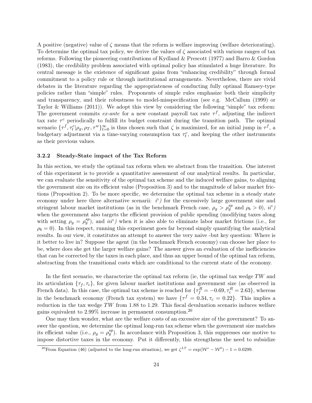A positive (negative) value of  $\zeta$  means that the reform is welfare improving (welfare deteriorating). To determine the optimal tax policy, we derive the values of  $\zeta$  associated with various ranges of tax reforms. Following the pioneering contributions of Kydland & Prescott (1977) and Barro & Gordon (1983), the credibility problem associated with optimal policy has stimulated a huge literature. Its central message is the existence of significant gains from "enhancing credibility" through formal commitment to a policy rule or through institutional arrangements. Nevertheless, there are vivid debates in the literature regarding the appropriateness of conducting fully optimal Ramsey-type policies rather than "simple" rules. Proponents of simple rules emphasize both their simplicity and transparency, and their robustness to model-misspecification (see e.g. McCallum (1999) or Taylor & Williams (2011)). We adopt this view by considering the following "simple" tax reform: The government commits ex-ante for a new constant payroll tax rate  $\tau^f$ , adjusting the indirect tax rate  $\tau^c$  periodically to fulfill its budget constraint during the transition path. The optimal scenario  $\{\tau^f, \tau_t^c | \rho_g, \rho_T, \tau^w\}_{t=0}^{\infty}$  is thus chosen such that  $\zeta$  is maximized, for an initial jump in  $\tau^f$ , a budgetary adjustment via a time-varying consumption tax  $\tau_t^c$ , and keeping the other instruments as their previous values.

#### 3.2.2 Steady-State impact of the Tax Reform

In this section, we study the optimal tax reform when we abstract from the transition. One interest of this experiment is to provide a quantitative assessment of our analytical results. In particular, we can evaluate the sensitivity of the optimal tax scheme and the induced welfare gains, to aligning the government size on its efficient value (Proposition 3) and to the magnitude of labor market frictions (Proposition 2). To be more specific, we determine the optimal tax scheme in a steady state economy under here three alternative scenarii:  $\hat{i}$ ) for the excessively large government size and stringent labour market institutions (as in the benchmark French case,  $\rho_g > \rho_g^{sp}$  and  $\rho_b > 0$ ),  $ii^{\circ}$ ) when the government also targets the efficient provision of public spending (modifying taxes along with setting  $\rho_g = \rho_g^{sp}$ ), and  $iii^{\circ}$ ) when it is also able to eliminate labor market frictions (i.e., for  $\rho_b = 0$ ). In this respect, running this experiment goes far beyond simply quantifying the analytical results. In our view, it constitutes an attempt to answer the very naive -but key question: Where is it better to live in? Suppose the agent (in the benchmark French economy) can choose her place to be, where does she get the larger welfare gains? The answer gives an evaluation of the inefficiencies that can be corrected by the taxes in each place, and thus an upper bound of the optimal tax reform, abstracting from the transitional costs which are conditional to the current state of the economy.

In the first scenario, we characterize the optimal tax reform (ie, the optimal tax wedge  $TW$  and its articulation  $\{\tau_f, \tau_c\}$ , for given labour market institutions and government size (as observed in French data). In this case, the optimal tax scheme is reached for  $\{\tau_f^R = -0.69, \tau_c^R = 2.63\}$ , whereas in the benchmark economy (French tax system) we have  $\{\tau^f = 0.34, \tau_c = 0.22\}$ . This implies a reduction in the tax wedge  $TW$  from 1.88 to 1.29. This fiscal devaluation scenario induces welfare gains equivalent to 2.99% increase in permanent consumption.<sup>20</sup>

One may then wonder, what are the welfare costs of an excessive size of the government? To answer the question, we determine the optimal long-run tax scheme when the government size matches its efficient value (i.e.,  $\rho_g = \rho_g^{sp}$ ). In accordance with Proposition 3, this suppresses one motive to impose distortive taxes in the economy. Put it differently, this strengthens the need to subsidize

<sup>&</sup>lt;sup>20</sup>From Equation (46) (adjusted to the long-run situation), we get  $\zeta^{LT} = \exp(W^* - W^0) - 1 = 0.0299$ .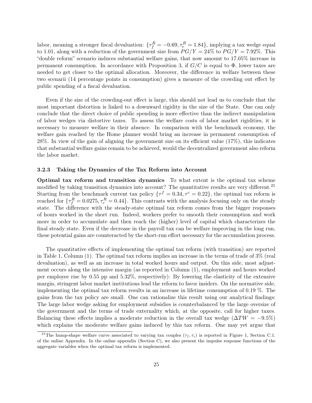labor, meaning a stronger fiscal devaluation:  $\{\tau_f^R = -0.69, \tau_c^R = 1.84\}$ , implying a tax wedge equal to 1.01, along with a reduction of the government size from  $PG/Y = 24\%$  to  $PG/Y = 7.92\%$ . This "double reform" scenario induces substantial welfare gains, that now amount to 17.05% increase in permanent consumption. In accordance with Proposition 3, if  $G/C$  is equal to  $\Phi$ , lower taxes are needed to get closer to the optimal allocation. Moreover, the difference in welfare between these two scenarii (14 percentage points in consumption) gives a measure of the crowding out effect by public spending of a fiscal devaluation.

Even if the size of the crowding-out effect is large, this should not lead us to conclude that the most important distortion is linked to a downward rigidity in the size of the State. One can only conclude that the direct choice of public spending is more effective than the indirect manipulation of labor wedges via distortive taxes. To assess the welfare costs of labor market rigidities, it is necessary to measure welfare in their absence. In comparison with the benchmark economy, the welfare gain reached by the Home planner would bring an increase in permanent consumption of 28%. In view of the gain of aligning the government size on its efficient value (17%), this indicates that substantial welfare gains remain to be achieved, would the decentralized government also reform the labor market.

#### 3.2.3 Taking the Dynamics of the Tax Reform into Account

Optimal tax reform and transition dynamics To what extent is the optimal tax scheme modified by taking transition dynamics into account? The quantitative results are very different.<sup>21</sup> Starting from the benchmark current tax policy  $\{\tau^f = 0.34, \tau^c = 0.22\}$ , the optimal tax reform is reached for  $\{\tau_f^R = 0.0275, \tau_c^R = 0.44\}$ . This contrasts with the analysis focusing only on the steady state. The difference with the steady-state optimal tax reform comes from the bigger responses of hours worked in the short run. Indeed, workers prefer to smooth their consumption and work more in order to accumulate and then reach the (higher) level of capital which characterizes the final steady state. Even if the decrease in the payroll tax can be welfare improving in the long run, these potential gains are counteracted by the short-run effort necessary for the accumulation process.

The quantitative effects of implementing the optimal tax reform (with transition) are reported in Table 1, Column (1). The optimal tax reform implies an increase in the terms of trade of 3% (real devaluation), as well as an increase in total worked hours and output. On this side, most adjustment occurs along the intensive margin (as reported in Column (1), employment and hours worked per employee rise by 0.55 pp and 5.32%, respectively): By lowering the elasticity of the extensive margin, stringent labor market institutions lead the reform to favor insiders. On the normative side, implementing the optimal tax reform results in an increase in lifetime consumption of 0.19 %. The gains from the tax policy are small. One can rationalize this result using our analytical findings: The large labor wedge asking for employment subsidies is counterbalanced by the large oversize of the government and the terms of trade externality which, at the opposite, call for higher taxes. Balancing these effects implies a moderate reduction in the overall tax wedge  $(\Delta TW = -9.5\%)$ which explains the moderate welfare gains induced by this tax reform. One may yet argue that

<sup>&</sup>lt;sup>21</sup>The hump-shape welfare curve associated to varying tax couples ( $\tau_f, \tau_c$ ) is reported in Figure 1, Section C.1. of the online Appendix. In the online appendix (Section C), we also present the impulse response functions of the aggregate variables when the optimal tax reform is implemented.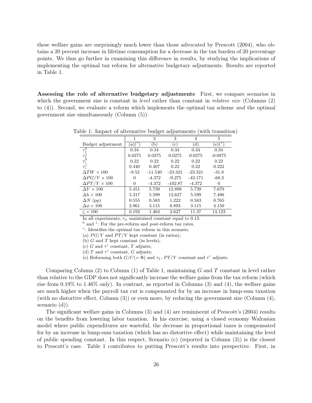these welfare gains are surprisingly much lower than those advocated by Prescott (2004), who obtains a 20 percent increase in lifetime consumption for a decrease in the tax burden of 20 percentage points. We thus go further in examining this difference in results, by studying the implications of implementing the optimal tax reform for alternative budgetary adjustments. Results are reported in Table 1.

Assessing the role of alternative budgetary adjustments First, we compare scenarios in which the government size is constant in *level* rather than constant in *relative size* (Columns  $(2)$ ) to  $(4)$ ). Second, we evaluate a reform which implements the optimal tax scheme and the optimal government size simultaneously (Column (5)).

|                                             | 1                   | $\overline{2}$ | 3            | 4         | 5                      |
|---------------------------------------------|---------------------|----------------|--------------|-----------|------------------------|
| Budget adjustment                           | $(a)(\overline{a})$ | (b)            | $\rm _{c}$ ) | 'd)       | $(e)^{(\overline{*})}$ |
|                                             | 0.34                | 0.34           | 0.34         | 0.34      | 0.34                   |
|                                             | 0.0275              | 0.0275         | 0.0275       | 0.0275    | $-0.0875$              |
| $\tau_{f1}^0 \tau_{f0}^1 \tau_c^0 \tau_c^1$ | 0.22                | 0.22           | 0.22         | 0.22      | 0.22                   |
|                                             | 0.440               | 0.407          | 0.22         | 0.22      | 0.222                  |
| $\Delta TW \times 100$                      | $-9.52$             | $-11.540$      | $-23.321$    | $-23.321$ | $-31.8$                |
| $\Delta PG/Y \times 100$                    | $\theta$            | $-4.372$       | $-9.275$     | $-43.171$ | $-68.3$                |
| $\Delta PT/Y \times 100$                    | $\Omega$            | $-4.372$       | $-102.87$    | $-4.372$  | 0                      |
| $\Delta Y \times 100$                       | 5.451               | 5.739          | 12.898       | 5.739     | 7.679                  |
| $\Delta h \times 100$                       | 5.317               | 5.599          | 12.627       | 5.599     | 7.496                  |
| $\Delta N$ (pp)                             | 0.555               | 0.583          | 1.222        | 0.583     | 0.765                  |
| $\Delta\phi \times 100$                     | 2.961               | 3.115          | 6.893        | 3.115     | 4.150                  |
| $\zeta \times 100$                          | 0.192               | 1.464          | 2.627        | 11.37     | 14.123                 |

Table 1: Impact of alternative budget adjustments (with transition)

In all experiments,  $\tau_w$  maintained constant equal to 0.13.

 $^0$  and  $^1$ : For the pre-reform and post-reform tax rates.

∗ : Identifies the optimal tax reform in this scenario.

(a)  $PG/Y$  and  $PT/Y$  kept constant (in ratios);

(b)  $G$  and  $T$  kept constant (in levels);

(c) G and  $\tau^c$  constant, T adjusts;

(d) T and  $\tau^c$  constant, G adjusts;

(e) Reforming both  $G/C(=\Phi)$  and  $\tau_f$ ,  $PT/Y$  constant and  $\tau^c$  adjusts.

Comparing Column  $(2)$  to Column  $(1)$  of Table 1, maintaining G and T constant in level rather than relative to the GDP does not significantly increase the welfare gains from the tax reform (which rise from 0.19% to 1.46% only). In contrast, as reported in Columns (3) and (4), the welfare gains are much higher when the payroll tax cut is compensated for by an increase in lump-sum taxation (with no distortive effect, Column (3)) or even more, by reducing the government size (Column (4), scenario (d)).

The significant welfare gains in Columns (3) and (4) are reminiscent of Prescott's (2004) results on the benefits from lowering labor taxation. In his exercise, using a closed economy Walrasian model where public expenditures are wasteful, the decrease in proportional taxes is compensated for by an increase in lump-sum taxation (which has no distortive effect) while maintaining the level of public spending constant. In this respect, Scenario (c) (reported in Column (3)) is the closest to Prescott's case. Table 1 contributes to putting Prescott's results into perspective. First, in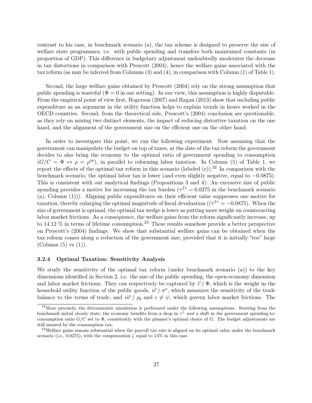contrast to his case, in benchmark scenario (a), the tax scheme is designed to preserve the size of welfare state programmes, i.e. with public spending and transfers both maintained constants (in proportion of GDP). This difference in budgetary adjustment undoubtedly moderates the decrease in tax distortions in comparison with Prescott (2004), hence the welfare gains associated with the tax reform (as may be inferred from Columns (3) and (4), in comparison with Column (1) of Table 1).

Second, the large welfare gains obtained by Prescott (2004) rely on the strong assumption that public spending is wasteful ( $\Phi = 0$  in our setting). In our view, this assumption is highly disputable. From the empirical point of view first, Rogerson (2007) and Ragan (2013) show that including public expenditure as an argument in the utility function helps to explain trends in hours worked in the OECD countries. Second, from the theoretical side, Prescott's (2004) conclusion are questionable, as they rely on mixing two distinct elements, the impact of reducing distortive taxation on the one hand, and the alignment of the government size on the efficient one on the other hand.

In order to investigate this point, we run the following experiment. Now assuming that the government can manipulate the budget on top of taxes, at the date of the tax reform the government decides to also bring the economy to the optimal ratio of government spending to consumption  $(G/C = \Phi \leftrightarrow \rho = \rho^{sp})$ , in parallel to reforming labor taxation. In Column (5) of Table 1, we report the effects of the optimal tax reform in this scenario (labeled  $(e)$ ).<sup>22</sup> In comparison with the benchmark scenario, the optimal labor tax is lower (and even slightly negative, equal to −0.0875). This is consistent with our analytical findings (Propositions 3 and 4): An excessive size of public spending provides a motive for increasing the tax burden ( $\tau^{f*} = 0.0275$  in the benchmark scenario (a), Column (1))). Aligning public expenditures on their efficient value suppresses one motive for taxation, thereby enlarging the optimal magnitude of fiscal devaluation ( $(\tau^{f*} = -0.0875)$ ). When the size of government is optimal, the optimal tax wedge is lower as putting more weight on counteracting labor market frictions. As a consequence, the welfare gains from the reform significantly increase, up to 14.12  $\%$  in terms of lifetime consumption.<sup>23</sup> These results somehow provide a better perspective on Prescott's (2004) findings. We show that substantial welfare gains can be obtained when the tax reform comes along a reduction of the government size, provided that it is initially "too" large  $(Column (5) vs (1)).$ 

#### 3.2.4 Optimal Taxation: Sensitivity Analysis

We study the sensitivity of the optimal tax reform (under benchmark scenario (a)) to the key dimensions identified in Section 2, i.e. the size of the public spending, the open-economy dimension and labor market frictions. They can respectively be captured by  $i^{\circ}$ )  $\Phi$ , which is the weight in the household utility function of the public goods,  $ii^\circ$ )  $\sigma^*$ , which measures the sensitivity of the trade balance to the terms of trade, and  $iii°$ )  $\rho_b$  and  $\epsilon \neq \psi$ , which govern labor market frictions. The

 $^{22}$ More precisely, the deterministic simulation is performed under the following assumptions. Starting from the benchmark initial steady state, the economy benefits from a drop in  $\tau^f$  and a shift in the government spending-toconsumption ratio  $G/C$  set to  $\Phi$ , consistently with the planner's optimal choice of G. The budget adjustments are still insured by the consumption tax.

 $23$ Welfare gains remain substantial when the payroll tax rate is aligned on its optimal value under the benchmark scenario (i.e., 0.0275), with the compensation  $\zeta$  equal to 14% in this case.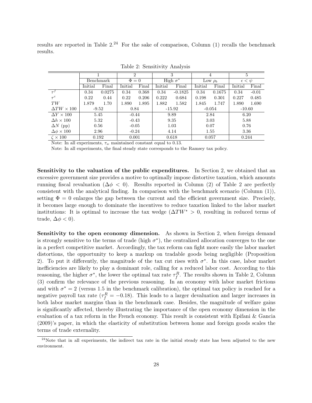results are reported in Table  $2^{24}$  For the sake of comparison, Column (1) recalls the benchmark results.

|                         |           |        | $\overline{2}$ |       | 3               |           | 4            |        | $\mathbf{5}$      |         |
|-------------------------|-----------|--------|----------------|-------|-----------------|-----------|--------------|--------|-------------------|---------|
|                         | Benchmark |        | $\Phi = 0$     |       | High $\sigma^*$ |           | Low $\rho_b$ |        | $\epsilon < \psi$ |         |
|                         | Initial   | Final  | Initial        | Final | Initial         | Final     | Initial      | Final  | Initial           | Final   |
|                         | 0.34      | 0.0275 | 0.34           | 0.368 | 0.34            | $-0.1825$ | 0.34         | 0.1675 | 0.34              | $-0.01$ |
| $\tau^{c}$              | 0.22      | 0.44   | 0.22           | 0.206 | 0.222           | 0.684     | 0.198        | 0.301  | 0.227             | 0.485   |
| TW                      | 1.879     | 1.70   | 1.890          | 1.895 | 1.882           | 1.582     | 1.845        | 1.747  | 1.890             | 1.690   |
| $\Delta TW \times 100$  | $-9.52$   |        | 0.84           |       | $-15.92$        |           | $-0.054$     |        | $-10.60$          |         |
| $\Delta Y \times 100$   | 5.45      |        | $-0.44$        |       | 9.89            |           | 2.84         |        | 6.20              |         |
| $\Delta h \times 100$   | 5.32      |        | $-0.43$        |       | 9.35            |           | 3.03         |        | 5.88              |         |
| $\Delta N$ (pp)         | 0.56      |        | $-0.05$        |       | 1.03            |           | 0.07         |        | 0.76              |         |
| $\Delta\phi \times 100$ | 2.96      |        | $-0.24$        |       | 4.14            |           | 1.55         |        | 3.36              |         |
| $\zeta \times 100$      | 0.192     |        | 0.001          |       | 0.618           |           | 0.057        |        | 0.244             |         |

Table 2: Sensitivity Analysis

Note: In all experiments,  $\tau_w$  maintained constant equal to 0.13.

Note: In all experiments, the final steady state corresponds to the Ramsey tax policy.

Sensitivity to the valuation of the public expenditures. In Section 2, we obtained that an excessive government size provides a motive to optimally impose distortive taxation, which amounts running fiscal revaluation ( $\Delta \phi < 0$ ). Results reported in Column (2) of Table 2 are perfectly consistent with the analytical finding. In comparison with the benchmark scenario (Column (1)), setting  $\Phi = 0$  enlarges the gap between the current and the efficient government size. Precisely, it becomes large enough to dominate the incentives to reduce taxation linked to the labor market institutions: It is optimal to increase the tax wedge  $(\Delta TW^* > 0$ , resulting in reduced terms of trade,  $\Delta \phi < 0$ ).

Sensitivity to the open economy dimension. As shown in Section 2, when foreign demand is strongly sensitive to the terms of trade (high  $\sigma^*$ ), the centralized allocation converges to the one in a perfect competitive market. Accordingly, the tax reform can fight more easily the labor market distortions, the opportunity to keep a markup on tradable goods being negligible (Proposition 2). To put it differently, the magnitude of the tax cut rises with  $\sigma^*$ . In this case, labor market inefficiencies are likely to play a dominant role, calling for a reduced labor cost. According to this reasoning, the higher  $\sigma^*$ , the lower the optimal tax rate  $\tau_f^R$ . The results shown in Table 2, Column (3) confirm the relevance of the previous reasoning. In an economy with labor market frictions and with  $\sigma^* = 2$  (versus 1.5 in the benchmark calibration), the optimal tax policy is reached for a negative payroll tax rate  $(\tau_f^R = -0.18)$ . This leads to a larger devaluation and larger increases in both labor market margins than in the benchmark case. Besides, the magnitude of welfare gains is significantly affected, thereby illustrating the importance of the open economy dimension in the evaluation of a tax reform in the French economy. This result is consistent with Epifani & Gancia (2009)'s paper, in which the elasticity of substitution between home and foreign goods scales the terms of trade externality.

 $24$ Note that in all experiments, the indirect tax rate in the initial steady state has been adjusted to the new environment.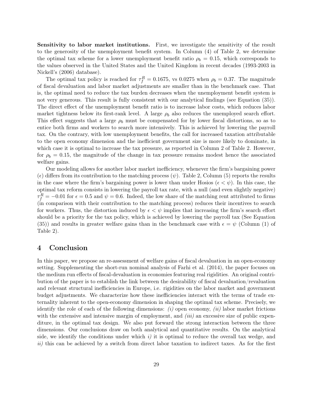Sensitivity to labor market institutions. First, we investigate the sensitivity of the result to the generosity of the unemployment benefit system. In Column (4) of Table 2, we determine the optimal tax scheme for a lower unemployment benefit ratio  $\rho_b = 0.15$ , which corresponds to the values observed in the United States and the United Kingdom in recent decades (1993-2003 in Nickell's (2006) database).

The optimal tax policy is reached for  $\tau_f^R = 0.1675$ , vs 0.0275 when  $\rho_b = 0.37$ . The magnitude of fiscal devaluation and labor market adjustments are smaller than in the benchmark case. That is, the optimal need to reduce the tax burden decreases when the unemployment benefit system is not very generous. This result is fully consistent with our analytical findings (see Equation (35)). The direct effect of the unemployment benefit ratio is to increase labor costs, which reduces labor market tightness below its first-rank level. A large  $\rho_b$  also reduces the unemployed search effort. This effect suggests that a large  $\rho_b$  must be compensated for by lower fiscal distortions, so as to entice both firms and workers to search more intensively. This is achieved by lowering the payroll tax. On the contrary, with low unemployment benefits, the call for increased taxation attributable to the open economy dimension and the inefficient government size is more likely to dominate, in which case it is optimal to increase the tax pressure, as reported in Column 2 of Table 2. However, for  $\rho_b = 0.15$ , the magnitude of the change in tax pressure remains modest hence the associated welfare gains.

Our modeling allows for another labor market inefficiency, whenever the firm's bargaining power  $(\epsilon)$  differs from its contribution to the matching process  $(\psi)$ . Table 2, Column (5) reports the results in the case where the firm's bargaining power is lower than under Hosios ( $\epsilon < \psi$ ). In this case, the optimal tax reform consists in lowering the payroll tax rate, with a null (and even slightly negative)  $\tau_f^R = -0.01$  for  $\epsilon = 0.5$  and  $\psi = 0.6$ . Indeed, the low share of the matching rent attributed to firms (in comparison with their contribution to the matching process) reduces their incentives to search for workers. Thus, the distortion induced by  $\epsilon < \psi$  implies that increasing the firm's search effort should be a priority for the tax policy, which is achieved by lowering the payroll tax (See Equation (35)) and results in greater welfare gains than in the benchmark case with  $\epsilon = \psi$  (Column (1) of Table 2).

### 4 Conclusion

In this paper, we propose an re-assessment of welfare gains of fiscal devaluation in an open-economy setting. Supplementing the short-run nominal analysis of Farhi et al. (2014), the paper focuses on the medium run effects of fiscal-devaluation in economies featuring real rigidities. An original contribution of the paper is to establish the link between the desirability of fiscal devaluation/revaluation and relevant structural inefficiencies in Europe, i.e. rigidities on the labor market and government budget adjustments. We characterize how these inefficiencies interact with the terms of trade externality inherent to the open-economy dimension in shaping the optimal tax scheme. Precisely, we identify the role of each of the following dimensions:  $(i)$  open economy,  $(ii)$  labor market frictions with the extensive and intensive margin of employment, and  $(iii)$  an excessive size of public expenditure, in the optimal tax design. We also put forward the strong interaction between the three dimensions. Our conclusions draw on both analytical and quantitative results. On the analytical side, we identify the conditions under which i) it is optimal to reduce the overall tax wedge, and  $ii)$  this can be achieved by a switch from direct labor taxation to indirect taxes. As for the first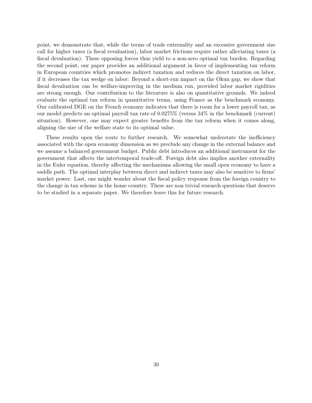point, we demonstrate that, while the terms of trade externality and an excessive government size call for higher taxes (a fiscal revaluation), labor market frictions require rather alleviating taxes (a fiscal devaluation). These opposing forces thus yield to a non-zero optimal tax burden. Regarding the second point, our paper provides an additional argument in favor of implementing tax reform in European countries which promotes indirect taxation and reduces the direct taxation on labor, if it decreases the tax wedge on labor: Beyond a short-run impact on the Okun gap, we show that fiscal devaluation can be welfare-improving in the medium run, provided labor market rigidities are strong enough. Our contribution to the literature is also on quantitative grounds. We indeed evaluate the optimal tax reform in quantitative terms, using France as the benchmark economy. Our calibrated DGE on the French economy indicates that there is room for a lower payroll tax, as our model predicts an optimal payroll tax rate of 0.0275% (versus 34% in the benchmark (current) situation). However, one may expect greater benefits from the tax reform when it comes along, aligning the size of the welfare state to its optimal value.

These results open the route to further research. We somewhat understate the inefficiency associated with the open economy dimension as we preclude any change in the external balance and we assume a balanced government budget. Public debt introduces an additional instrument for the government that affects the intertemporal trade-off. Foreign debt also implies another externality in the Euler equation, thereby affecting the mechanisms allowing the small open economy to have a saddle path. The optimal interplay between direct and indirect taxes may also be sensitive to firms' market power. Last, one might wonder about the fiscal policy response from the foreign country to the change in tax scheme in the home country. These are non trivial research questions that deserve to be studied in a separate paper. We therefore leave this for future research.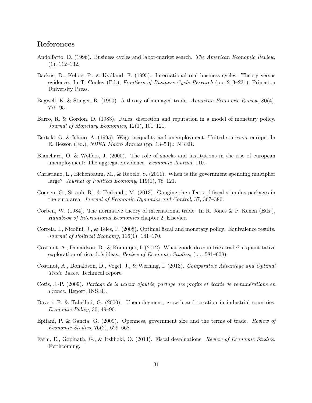## References

- Andolfatto, D. (1996). Business cycles and labor-market search. The American Economic Review, (1), 112–132.
- Backus, D., Kehoe, P., & Kydland, F. (1995). International real business cycles: Theory versus evidence. In T. Cooley (Ed.), Frontiers of Business Cycle Research (pp. 213–231). Princeton University Press.
- Bagwell, K. & Staiger, R. (1990). A theory of managed trade. American Economic Review, 80(4), 779–95.
- Barro, R. & Gordon, D. (1983). Rules, discretion and reputation in a model of monetary policy. Journal of Monetary Economics, 12(1), 101–121.
- Bertola, G. & Ichino, A. (1995). Wage inequality and unemployment: United states vs. europe. In E. Besson (Ed.), NBER Macro Annual (pp. 13–53).: NBER.
- Blanchard, O. & Wolfers, J. (2000). The role of shocks and institutions in the rise of european unemployment: The aggregate evidence. Economic Journal, 110.
- Christiano, L., Eichenbaum, M., & Rebelo, S. (2011). When is the government spending multiplier large? Journal of Political Economy, 119(1), 78–121.
- Coenen, G., Straub, R., & Trabandt, M. (2013). Gauging the effects of fiscal stimulus packages in the euro area. Journal of Economic Dynamics and Control, 37, 367–386.
- Corben, W. (1984). The normative theory of international trade. In R. Jones & P. Kenen (Eds.), Handbook of International Economics chapter 2. Elsevier.
- Correia, I., Nicolini, J., & Teles, P. (2008). Optimal fiscal and monetary policy: Equivalence results. Journal of Political Economy, 116(1), 141–170.
- Costinot, A., Donaldson, D., & Komunjer, I. (2012). What goods do countries trade? a quantitative exploration of ricardo's ideas. Review of Economic Studies, (pp. 581–608).
- Costinot, A., Donaldson, D., Vogel, J., & Werning, I. (2013). Comparative Advantage and Optimal Trade Taxes. Technical report.
- Cotis, J.-P. (2009). Partage de la valeur ajoutée, partage des profits et écarts de rémunérations en France. Report, INSEE.
- Daveri, F. & Tabellini, G. (2000). Unemployment, growth and taxation in industrial countries. Economic Policy, 30, 49–90.
- Epifani, P. & Gancia, G. (2009). Openness, government size and the terms of trade. Review of Economic Studies, 76(2), 629–668.
- Farhi, E., Gopinath, G., & Itskhoki, O. (2014). Fiscal devaluations. Review of Economic Studies, Forthcoming.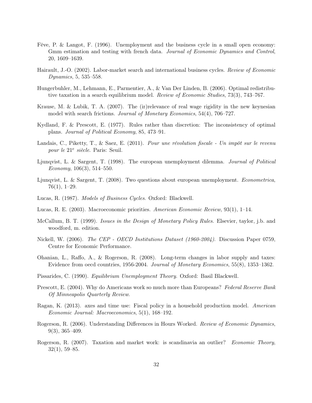- Fève, P. & Langot, F. (1996). Unemployment and the business cycle in a small open economy: Gmm estimation and testing with french data. Journal of Economic Dynamics and Control, 20, 1609–1639.
- Hairault, J.-O. (2002). Labor-market search and international business cycles. Review of Economic Dynamics, 5, 535–558.
- Hungerbuhler, M., Lehmann, E., Parmentier, A., & Van Der Linden, B. (2006). Optimal redistributive taxation in a search equilibrium model. Review of Economic Studies, 73(3), 743–767.
- Krause, M. & Lubik, T. A. (2007). The (ir)relevance of real wage rigidity in the new keynesian model with search frictions. Journal of Monetary Economics, 54(4), 706–727.
- Kydland, F. & Prescott, E. (1977). Rules rather than discretion: The inconsistency of optimal plans. Journal of Political Economy, 85, 473–91.
- Landais, C., Piketty, T., & Saez, E. (2011). Pour une révolution fiscale Un impôt sur le revenu pour le 21<sup>e</sup> siècle. Paris: Seuil.
- Ljunqvist, L. & Sargent, T. (1998). The european unemployment dilemma. Journal of Political Economy,  $106(3)$ ,  $514-550$ .
- Ljunqvist, L. & Sargent, T. (2008). Two questions about european unemployment. Econometrica, 76(1), 1–29.
- Lucas, R. (1987). Models of Business Cycles. Oxford: Blackwell.
- Lucas, R. E. (2003). Macroeconomic priorities. American Economic Review, 93(1), 1–14.
- McCallum, B. T. (1999). Issues in the Design of Monetary Policy Rules. Elsevier, taylor, j.b. and woodford, m. edition.
- Nickell, W. (2006). The CEP OECD Institutions Dataset (1960-2004). Discussion Paper 0759, Centre for Economic Performance.
- Ohanian, L., Raffo, A., & Rogerson, R. (2008). Long-term changes in labor supply and taxes: Evidence from oecd countries, 1956-2004. Journal of Monetary Economics, 55(8), 1353–1362.
- Pissarides, C. (1990). Equilibrium Unemployment Theory. Oxford: Basil Blackwell.
- Prescott, E. (2004). Why do Americans work so much more than Europeans? Federal Reserve Bank Of Minneapolis Quarterly Review.
- Ragan, K. (2013). axes and time use: Fiscal policy in a household production model. American Economic Journal: Macroeconomics, 5(1), 168–192.
- Rogerson, R. (2006). Understanding Differences in Hours Worked. Review of Economic Dynamics, 9(3), 365–409.
- Rogerson, R. (2007). Taxation and market work: is scandinavia an outlier? Economic Theory, 32(1), 59–85.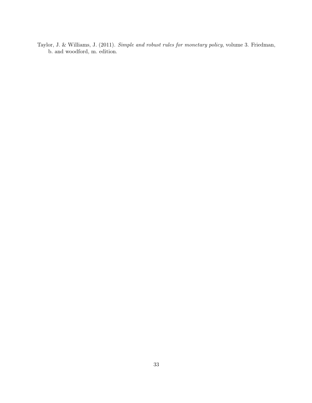Taylor, J. & Williams, J. (2011). Simple and robust rules for monetary policy, volume 3. Friedman, b. and woodford, m. edition.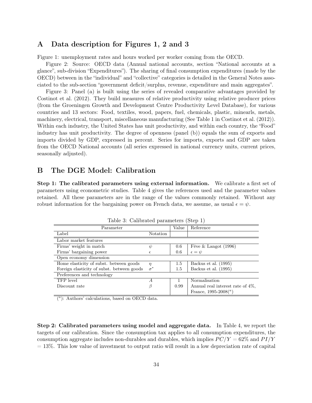## A Data description for Figures 1, 2 and 3

Figure 1: unemployment rates and hours worked per worker coming from the OECD.

Figure 2: Source: OECD data (Annual national accounts, section "National accounts at a glance", sub-division "Expenditures"). The sharing of final consumption expenditures (made by the OECD) between in the "individual" and "collective" categories is detailed in the General Notes associated to the sub-section "government deficit/surplus, revenue, expenditure and main aggregates".

Figure 3: Panel (a) is built using the series of revealed comparative advantages provided by Costinot et al. (2012). They build measures of relative productivity using relative producer prices (from the Groeningen Growth and Development Centre Productivity Level Database), for various countries and 13 sectors: Food, textiles, wood, papers, fuel, chemicals, plastic, minearls, metals, machinery, electrical, transport, miscellaneous manufacturing (See Table 1 in Costinot et al. (2012)). Within each industry, the United States has unit productivity, and within each country, the "Food" industry has unit productivity. The degree of openness (panel (b)) equals the sum of exports and imports divided by GDP, expressed in percent. Series for imports, exports and GDP are taken from the OECD National accounts (all series expressed in national currency units, current prices, seasonally adjusted).

## B The DGE Model: Calibration

Step 1: The calibrated parameters using external information. We calibrate a first set of parameters using econometric studies. Table 4 gives the references used and the parameter values retained. All these parameters are in the range of the values commonly retained. Without any robust information for the bargaining power on French data, we assume, as usual  $\epsilon = \psi$ .

| rable 5: Calibrated parameters (Step 1)    |            |         |                                   |  |  |  |
|--------------------------------------------|------------|---------|-----------------------------------|--|--|--|
| Parameter                                  |            |         | Reference                         |  |  |  |
| Label                                      | Notation   |         |                                   |  |  |  |
| Labor market features                      |            |         |                                   |  |  |  |
| Firms' weight in match                     | $\psi$     | 0.6     | Fève & Langot $(1996)$            |  |  |  |
| Firms' bargaining power                    | $\epsilon$ | 0.6     | $\epsilon = \psi$                 |  |  |  |
| Open economy dimension                     |            |         |                                   |  |  |  |
| Home elasticity of subst. between goods    | $\eta$     | $1.5\,$ | Backus et al. (1995)              |  |  |  |
| Foreign elasticity of subst. between goods | $\sigma$   | 1.5     | Backus et al. (1995)              |  |  |  |
| Preferences and technology                 |            |         |                                   |  |  |  |
| TFP level                                  |            |         | Normalisation                     |  |  |  |
| Discount rate                              |            | 0.99    | Annual real interest rate of 4\%. |  |  |  |
|                                            |            |         | France, $1995-2008(^{a})$         |  |  |  |

Table 3: Calibrated parameters (Step 1)

 $\binom{a}{b}$ : Authors' calculations, based on OECD data.

Step 2: Calibrated parameters using model and aggregate data. In Table 4, we report the targets of our calibration. Since the consumption tax applies to all consumption expenditures, the consumption aggregate includes non-durables and durables, which implies  $PC/Y = 62\%$  and  $PI/Y$ = 13%. This low value of investment to output ratio will result in a low depreciation rate of capital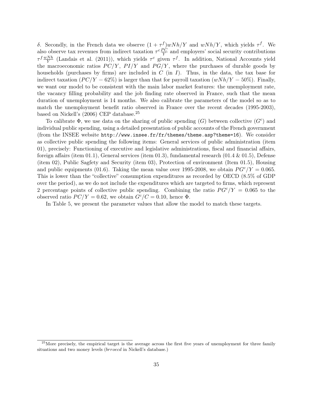δ. Secondly, in the French data we observe  $(1 + \tau^f)$  wNh/Y and wNh/Y, which yields  $\tau^f$ . We also observe tax revenues from indirect taxation  $\tau^c \frac{PC}{Y}$  and employers' social security contributions  $\tau^f \frac{wNh}{Y}$  (Landais et al. (2011)), which yields  $\tau^c$  given  $\tau^f$ . In addition, National Accounts yield the macroeconomic ratios  $PC/Y$ ,  $PI/Y$  and  $PG/Y$ , where the purchases of durable goods by households (purchases by firms) are included in  $C$  (in  $I$ ). Thus, in the data, the tax base for indirect taxation  $(PC/Y = 62\%)$  is larger than that for payroll taxation  $(wNh/Y = 50\%)$ . Finally, we want our model to be consistent with the main labor market features: the unemployment rate, the vacancy filling probability and the job finding rate observed in France, such that the mean duration of unemployment is 14 months. We also calibrate the parameters of the model so as to match the unemployment benefit ratio observed in France over the recent decades (1995-2003), based on Nickell's (2006) CEP database.<sup>25</sup>

To calibrate  $\Phi$ , we use data on the sharing of public spending  $(G)$  between collective  $(G<sup>c</sup>)$  and individual public spending, using a detailed presentation of public accounts of the French government (from the INSEE website  $http://www.insee.fr/fr/thenes/theneeasp?thene=16)$ . We consider as collective public spending the following items: General services of public administration (item 01), precisely: Functioning of executive and legislative administrations, fiscal and financial affairs, foreign affairs (item 01.1), General services (item 01.3), fundamental research  $(01.4 \& 01.5)$ , Defense (item 02), Public Sagfety and Security (item 03), Protection of environment (Item 01.5), Housing and public equipments (01.6). Taking the mean value over 1995-2008, we obtain  $PG<sup>c</sup>/Y = 0.065$ . This is lower than the "collective" consumption expenditures as recorded by OECD (8.5% of GDP over the period), as we do not include the expenditures which are targeted to firms, which represent 2 percentage points of collective public spending. Combining the ratio  $PG^c/Y = 0.065$  to the observed ratio  $PC/Y = 0.62$ , we obtain  $G^{c}/C = 0.10$ , hence  $\Phi$ .

In Table 5, we present the parameter values that allow the model to match these targets.

<sup>&</sup>lt;sup>25</sup>More precisely, the empirical target is the average across the first five years of unemployment for three family situations and two money levels (brroecd in Nickell's database.)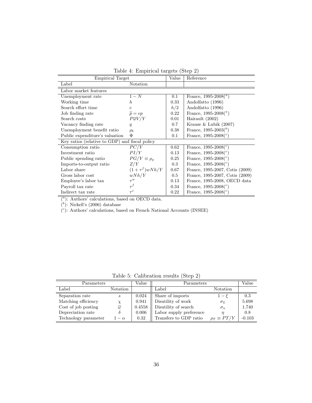| <b>Empirical Target</b>                        |                         |      | Reference                          |  |  |  |
|------------------------------------------------|-------------------------|------|------------------------------------|--|--|--|
| Label                                          | Notation                |      |                                    |  |  |  |
| Labor market features                          |                         |      |                                    |  |  |  |
| Unemployment rate                              | $1-N$                   | 0.1  | France, $1995-2008(^{a})$          |  |  |  |
| Working time                                   | h.                      | 0.33 | Andolfatto (1996)                  |  |  |  |
| Search effort time                             | $\epsilon$              | h/2  | Andolfatto (1996)                  |  |  |  |
| Job finding rate                               | $\widetilde{p} = ep$    | 0.22 | France, $1995-2008^{\binom{a}{2}}$ |  |  |  |
| Search costs                                   | $P\overline{\omega}V/Y$ | 0.01 | Hairault $(2002)$                  |  |  |  |
| Vacancy finding rate                           | q                       | 0.7  | Krause & Lubik $(2007)$            |  |  |  |
| Unemployment benefit ratio                     | $\rho_b$                | 0.38 | France, $1995-2003(^{b})$          |  |  |  |
| Public expenditure's valuation                 | $\Phi$                  | 0.1  | France, $1995-2008(^c)$            |  |  |  |
| Key ratios (relative to GDP) and fiscal policy |                         |      |                                    |  |  |  |
| Consumption ratio                              | PC/Y                    | 0.62 | France, $1995-2008(^c)$            |  |  |  |
| Investment ratio                               | PI/Y                    | 0.13 | France, $1995-2008(^c)$            |  |  |  |
| Public spending ratio                          | $PG/Y \equiv \rho_q$    | 0.25 | France, $1995-2008(^c)$            |  |  |  |
| Imports-to-output ratio                        | Z/Y                     | 0.3  | France, $1995-2008(^c)$            |  |  |  |
| Labor share                                    | $(1+\tau^f)wNh/Y$       | 0.67 | France, 1995-2007, Cotis (2009)    |  |  |  |
| Gross labor cost                               | wNh/Y                   | 0.5  | France, 1995-2007, Cotis (2009)    |  |  |  |
| Employee's labor tax                           | $\tau^w$                | 0.13 | France, 1995-2008, OECD data       |  |  |  |
| Payroll tax rate                               |                         | 0.34 | France, $1995-2008(^c)$            |  |  |  |
| Indirect tax rate                              | $\tau ^{c}$             | 0.22 | France, 1995-2008( $^{c}$ )        |  |  |  |

Table 4: Empirical targets (Step 2)

 $($ <sup>a</sup>): Authors' calculations, based on OECD data.

 $\binom{b}{k}$ : Nickell's (2006) database

( c ): Authors' calculations, based on French National Accounts (INSEE)

Table 5: Calibration results (Step 2)

| Parameters           |                     | Value  | Parameters              | Value                |          |
|----------------------|---------------------|--------|-------------------------|----------------------|----------|
| Label                | Notation            |        | Label                   | <b>Notation</b>      |          |
| Separation rate      | $\mathcal{S}_{0}$   | 0.024  | Share of imports        | $1-\varepsilon$      | 0.3      |
| Matching efficiency  | $\chi$              | 0.941  | Disutility of work      | $\sigma_L$           | 5.698    |
| Cost of job posting  | $\overline{\omega}$ | 0.4558 | Disutility of search    | $\sigma_u$           | 1.740    |
| Depreciation rate    |                     | 0.006  | Labor supply preference | $\eta$               | 0.8      |
| Technology parameter | $1-\alpha$          | 0.32   | Transfers to GDP ratio  | $\rho_T \equiv PT/Y$ | $-0.103$ |